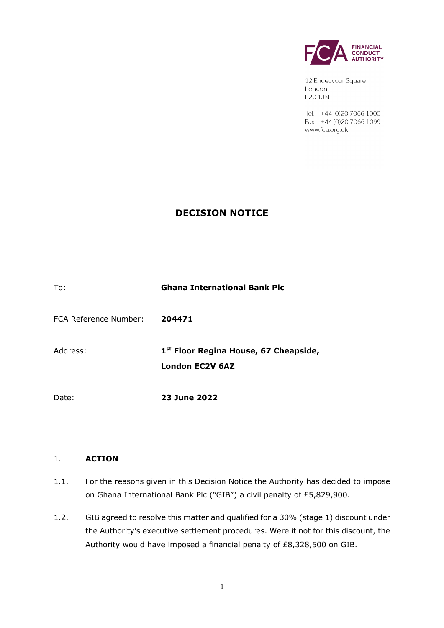

12 Endeavour Square London E20 1JN

Tel: +44 (0) 20 7066 1000 Fax: +44 (0) 20 7066 1099 www.fca.org.uk

# **DECISION NOTICE**

| To:                   | <b>Ghana International Bank Plc</b>                                         |
|-----------------------|-----------------------------------------------------------------------------|
| FCA Reference Number: | 204471                                                                      |
| Address:              | 1 <sup>st</sup> Floor Regina House, 67 Cheapside,<br><b>London EC2V 6AZ</b> |
| Date:                 | <b>23 June 2022</b>                                                         |

## 1. **ACTION**

- 1.1. For the reasons given in this Decision Notice the Authority has decided to impose on Ghana International Bank Plc ("GIB") a civil penalty of £5,829,900.
- 1.2. GIB agreed to resolve this matter and qualified for a 30% (stage 1) discount under the Authority's executive settlement procedures. Were it not for this discount, the Authority would have imposed a financial penalty of £8,328,500 on GIB.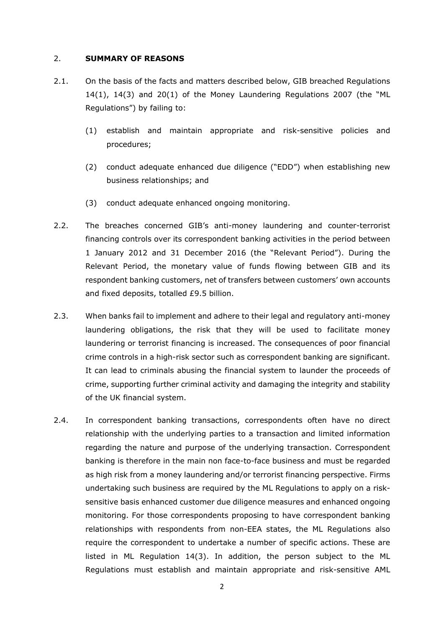### 2. **SUMMARY OF REASONS**

- 2.1. On the basis of the facts and matters described below, GIB breached Regulations 14(1), 14(3) and 20(1) of the Money Laundering Regulations 2007 (the "ML Regulations") by failing to:
	- (1) establish and maintain appropriate and risk-sensitive policies and procedures;
	- (2) conduct adequate enhanced due diligence ("EDD") when establishing new business relationships; and
	- (3) conduct adequate enhanced ongoing monitoring.
- 2.2. The breaches concerned GIB's anti-money laundering and counter-terrorist financing controls over its correspondent banking activities in the period between 1 January 2012 and 31 December 2016 (the "Relevant Period"). During the Relevant Period, the monetary value of funds flowing between GIB and its respondent banking customers, net of transfers between customers' own accounts and fixed deposits, totalled £9.5 billion.
- 2.3. When banks fail to implement and adhere to their legal and regulatory anti-money laundering obligations, the risk that they will be used to facilitate money laundering or terrorist financing is increased. The consequences of poor financial crime controls in a high-risk sector such as correspondent banking are significant. It can lead to criminals abusing the financial system to launder the proceeds of crime, supporting further criminal activity and damaging the integrity and stability of the UK financial system.
- 2.4. In correspondent banking transactions, correspondents often have no direct relationship with the underlying parties to a transaction and limited information regarding the nature and purpose of the underlying transaction. Correspondent banking is therefore in the main non face-to-face business and must be regarded as high risk from a money laundering and/or terrorist financing perspective. Firms undertaking such business are required by the ML Regulations to apply on a risksensitive basis enhanced customer due diligence measures and enhanced ongoing monitoring. For those correspondents proposing to have correspondent banking relationships with respondents from non-EEA states, the ML Regulations also require the correspondent to undertake a number of specific actions. These are listed in ML Regulation 14(3). In addition, the person subject to the ML Regulations must establish and maintain appropriate and risk-sensitive AML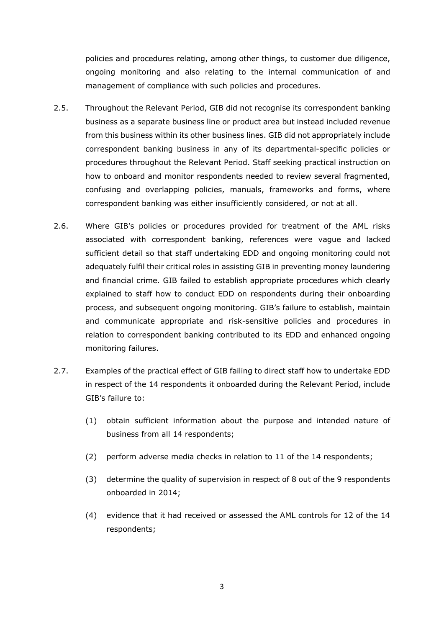policies and procedures relating, among other things, to customer due diligence, ongoing monitoring and also relating to the internal communication of and management of compliance with such policies and procedures.

- 2.5. Throughout the Relevant Period, GIB did not recognise its correspondent banking business as a separate business line or product area but instead included revenue from this business within its other business lines. GIB did not appropriately include correspondent banking business in any of its departmental-specific policies or procedures throughout the Relevant Period. Staff seeking practical instruction on how to onboard and monitor respondents needed to review several fragmented, confusing and overlapping policies, manuals, frameworks and forms, where correspondent banking was either insufficiently considered, or not at all.
- 2.6. Where GIB's policies or procedures provided for treatment of the AML risks associated with correspondent banking, references were vague and lacked sufficient detail so that staff undertaking EDD and ongoing monitoring could not adequately fulfil their critical roles in assisting GIB in preventing money laundering and financial crime. GIB failed to establish appropriate procedures which clearly explained to staff how to conduct EDD on respondents during their onboarding process, and subsequent ongoing monitoring. GIB's failure to establish, maintain and communicate appropriate and risk-sensitive policies and procedures in relation to correspondent banking contributed to its EDD and enhanced ongoing monitoring failures.
- 2.7. Examples of the practical effect of GIB failing to direct staff how to undertake EDD in respect of the 14 respondents it onboarded during the Relevant Period, include GIB's failure to:
	- (1) obtain sufficient information about the purpose and intended nature of business from all 14 respondents;
	- (2) perform adverse media checks in relation to 11 of the 14 respondents;
	- (3) determine the quality of supervision in respect of 8 out of the 9 respondents onboarded in 2014;
	- (4) evidence that it had received or assessed the AML controls for 12 of the 14 respondents;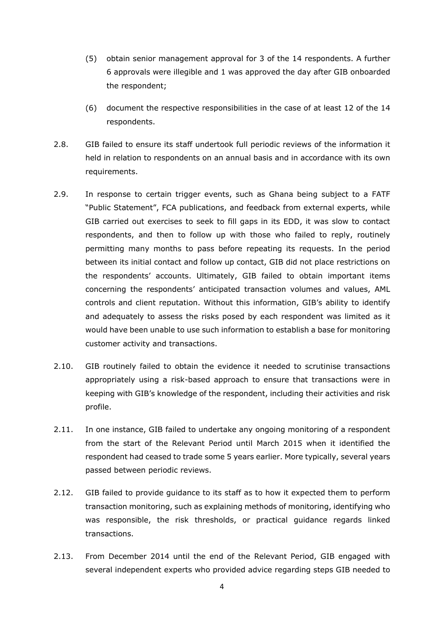- (5) obtain senior management approval for 3 of the 14 respondents. A further 6 approvals were illegible and 1 was approved the day after GIB onboarded the respondent;
- (6) document the respective responsibilities in the case of at least 12 of the 14 respondents.
- 2.8. GIB failed to ensure its staff undertook full periodic reviews of the information it held in relation to respondents on an annual basis and in accordance with its own requirements.
- 2.9. In response to certain trigger events, such as Ghana being subject to a FATF "Public Statement", FCA publications, and feedback from external experts, while GIB carried out exercises to seek to fill gaps in its EDD, it was slow to contact respondents, and then to follow up with those who failed to reply, routinely permitting many months to pass before repeating its requests. In the period between its initial contact and follow up contact, GIB did not place restrictions on the respondents' accounts. Ultimately, GIB failed to obtain important items concerning the respondents' anticipated transaction volumes and values, AML controls and client reputation. Without this information, GIB's ability to identify and adequately to assess the risks posed by each respondent was limited as it would have been unable to use such information to establish a base for monitoring customer activity and transactions.
- 2.10. GIB routinely failed to obtain the evidence it needed to scrutinise transactions appropriately using a risk-based approach to ensure that transactions were in keeping with GIB's knowledge of the respondent, including their activities and risk profile.
- 2.11. In one instance, GIB failed to undertake any ongoing monitoring of a respondent from the start of the Relevant Period until March 2015 when it identified the respondent had ceased to trade some 5 years earlier. More typically, several years passed between periodic reviews.
- 2.12. GIB failed to provide guidance to its staff as to how it expected them to perform transaction monitoring, such as explaining methods of monitoring, identifying who was responsible, the risk thresholds, or practical guidance regards linked transactions.
- 2.13. From December 2014 until the end of the Relevant Period, GIB engaged with several independent experts who provided advice regarding steps GIB needed to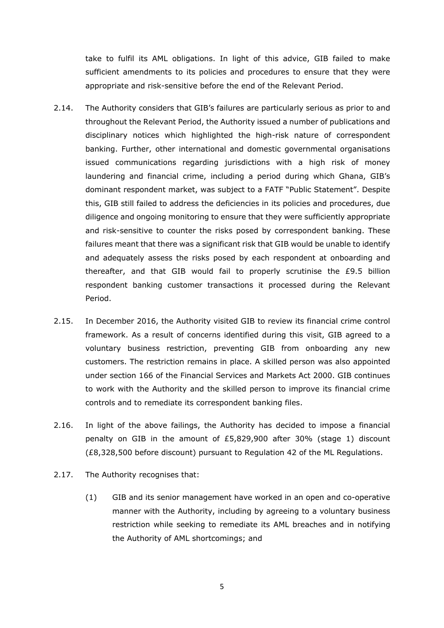take to fulfil its AML obligations. In light of this advice, GIB failed to make sufficient amendments to its policies and procedures to ensure that they were appropriate and risk-sensitive before the end of the Relevant Period.

- 2.14. The Authority considers that GIB's failures are particularly serious as prior to and throughout the Relevant Period, the Authority issued a number of publications and disciplinary notices which highlighted the high-risk nature of correspondent banking. Further, other international and domestic governmental organisations issued communications regarding jurisdictions with a high risk of money laundering and financial crime, including a period during which Ghana, GIB's dominant respondent market, was subject to a FATF "Public Statement". Despite this, GIB still failed to address the deficiencies in its policies and procedures, due diligence and ongoing monitoring to ensure that they were sufficiently appropriate and risk-sensitive to counter the risks posed by correspondent banking. These failures meant that there was a significant risk that GIB would be unable to identify and adequately assess the risks posed by each respondent at onboarding and thereafter, and that GIB would fail to properly scrutinise the £9.5 billion respondent banking customer transactions it processed during the Relevant Period.
- 2.15. In December 2016, the Authority visited GIB to review its financial crime control framework. As a result of concerns identified during this visit, GIB agreed to a voluntary business restriction, preventing GIB from onboarding any new customers. The restriction remains in place. A skilled person was also appointed under section 166 of the Financial Services and Markets Act 2000. GIB continues to work with the Authority and the skilled person to improve its financial crime controls and to remediate its correspondent banking files.
- 2.16. In light of the above failings, the Authority has decided to impose a financial penalty on GIB in the amount of  $£5,829,900$  after 30% (stage 1) discount (£8,328,500 before discount) pursuant to Regulation 42 of the ML Regulations.
- 2.17. The Authority recognises that:
	- (1) GIB and its senior management have worked in an open and co-operative manner with the Authority, including by agreeing to a voluntary business restriction while seeking to remediate its AML breaches and in notifying the Authority of AML shortcomings; and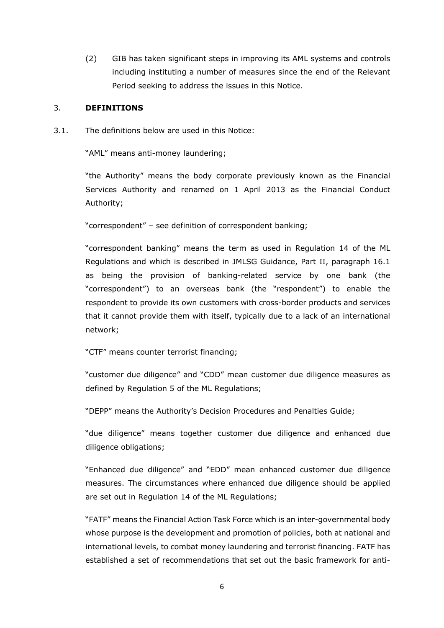(2) GIB has taken significant steps in improving its AML systems and controls including instituting a number of measures since the end of the Relevant Period seeking to address the issues in this Notice.

### 3. **DEFINITIONS**

3.1. The definitions below are used in this Notice:

"AML" means anti-money laundering;

"the Authority" means the body corporate previously known as the Financial Services Authority and renamed on 1 April 2013 as the Financial Conduct Authority;

"correspondent" – see definition of correspondent banking;

"correspondent banking" means the term as used in Regulation 14 of the ML Regulations and which is described in JMLSG Guidance, Part II, paragraph 16.1 as being the provision of banking-related service by one bank (the "correspondent") to an overseas bank (the "respondent") to enable the respondent to provide its own customers with cross-border products and services that it cannot provide them with itself, typically due to a lack of an international network;

"CTF" means counter terrorist financing;

"customer due diligence" and "CDD" mean customer due diligence measures as defined by Regulation 5 of the ML Regulations;

"DEPP" means the Authority's Decision Procedures and Penalties Guide;

"due diligence" means together customer due diligence and enhanced due diligence obligations;

"Enhanced due diligence" and "EDD" mean enhanced customer due diligence measures. The circumstances where enhanced due diligence should be applied are set out in Regulation 14 of the ML Regulations;

"FATF" means the Financial Action Task Force which is an inter-governmental body whose purpose is the development and promotion of policies, both at national and international levels, to combat money laundering and terrorist financing. FATF has established a set of recommendations that set out the basic framework for anti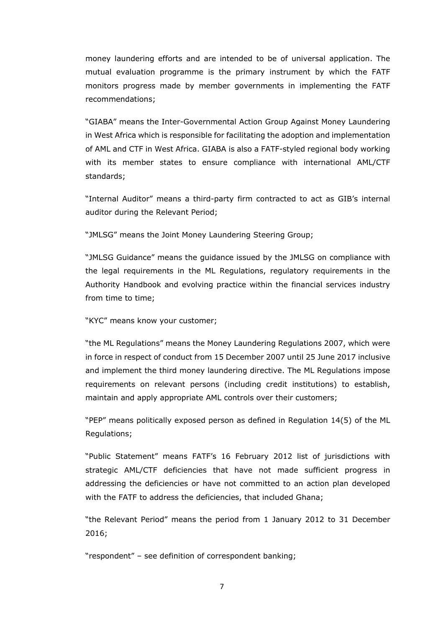money laundering efforts and are intended to be of universal application. The mutual evaluation programme is the primary instrument by which the FATF monitors progress made by member governments in implementing the FATF recommendations;

"GIABA" means the Inter-Governmental Action Group Against Money Laundering in West Africa which is responsible for facilitating the adoption and implementation of AML and CTF in West Africa. GIABA is also a FATF-styled regional body working with its member states to ensure compliance with international AML/CTF standards;

"Internal Auditor" means a third-party firm contracted to act as GIB's internal auditor during the Relevant Period;

"JMLSG" means the Joint Money Laundering Steering Group;

"JMLSG Guidance" means the guidance issued by the JMLSG on compliance with the legal requirements in the ML Regulations, regulatory requirements in the Authority Handbook and evolving practice within the financial services industry from time to time;

"KYC" means know your customer;

"the ML Regulations" means the Money Laundering Regulations 2007, which were in force in respect of conduct from 15 December 2007 until 25 June 2017 inclusive and implement the third money laundering directive. The ML Regulations impose requirements on relevant persons (including credit institutions) to establish, maintain and apply appropriate AML controls over their customers;

"PEP" means politically exposed person as defined in Regulation 14(5) of the ML Regulations;

"Public Statement" means FATF's 16 February 2012 list of jurisdictions with strategic AML/CTF deficiencies that have not made sufficient progress in addressing the deficiencies or have not committed to an action plan developed with the FATF to address the deficiencies, that included Ghana;

"the Relevant Period" means the period from 1 January 2012 to 31 December 2016;

"respondent" – see definition of correspondent banking;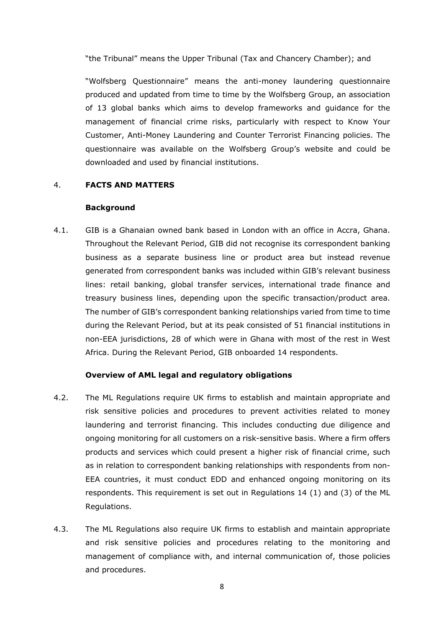"the Tribunal" means the Upper Tribunal (Tax and Chancery Chamber); and

"Wolfsberg Questionnaire" means the anti-money laundering questionnaire produced and updated from time to time by the Wolfsberg Group, an association of 13 global banks which aims to develop frameworks and guidance for the management of financial crime risks, particularly with respect to Know Your Customer, Anti-Money Laundering and Counter Terrorist Financing policies. The questionnaire was available on the Wolfsberg Group's website and could be downloaded and used by financial institutions.

## 4. **FACTS AND MATTERS**

### **Background**

4.1. GIB is a Ghanaian owned bank based in London with an office in Accra, Ghana. Throughout the Relevant Period, GIB did not recognise its correspondent banking business as a separate business line or product area but instead revenue generated from correspondent banks was included within GIB's relevant business lines: retail banking, global transfer services, international trade finance and treasury business lines, depending upon the specific transaction/product area. The number of GIB's correspondent banking relationships varied from time to time during the Relevant Period, but at its peak consisted of 51 financial institutions in non-EEA jurisdictions, 28 of which were in Ghana with most of the rest in West Africa. During the Relevant Period, GIB onboarded 14 respondents.

### **Overview of AML legal and regulatory obligations**

- 4.2. The ML Regulations require UK firms to establish and maintain appropriate and risk sensitive policies and procedures to prevent activities related to money laundering and terrorist financing. This includes conducting due diligence and ongoing monitoring for all customers on a risk-sensitive basis. Where a firm offers products and services which could present a higher risk of financial crime, such as in relation to correspondent banking relationships with respondents from non-EEA countries, it must conduct EDD and enhanced ongoing monitoring on its respondents. This requirement is set out in Regulations 14 (1) and (3) of the ML Regulations.
- 4.3. The ML Regulations also require UK firms to establish and maintain appropriate and risk sensitive policies and procedures relating to the monitoring and management of compliance with, and internal communication of, those policies and procedures.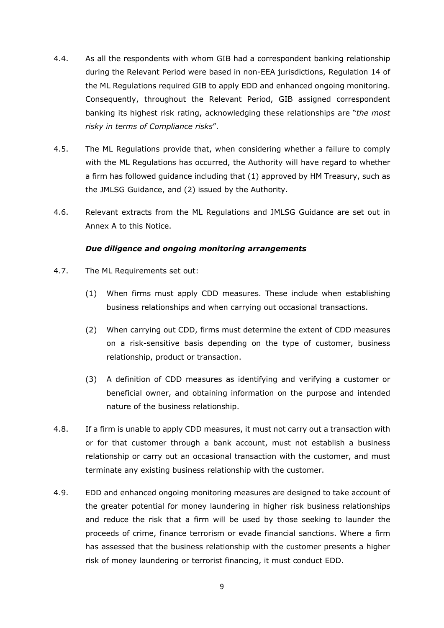- 4.4. As all the respondents with whom GIB had a correspondent banking relationship during the Relevant Period were based in non-EEA jurisdictions, Regulation 14 of the ML Regulations required GIB to apply EDD and enhanced ongoing monitoring. Consequently, throughout the Relevant Period, GIB assigned correspondent banking its highest risk rating, acknowledging these relationships are "*the most risky in terms of Compliance risks*".
- 4.5. The ML Regulations provide that, when considering whether a failure to comply with the ML Regulations has occurred, the Authority will have regard to whether a firm has followed guidance including that (1) approved by HM Treasury, such as the JMLSG Guidance, and (2) issued by the Authority.
- 4.6. Relevant extracts from the ML Regulations and JMLSG Guidance are set out in Annex A to this Notice.

## *Due diligence and ongoing monitoring arrangements*

- 4.7. The ML Requirements set out:
	- (1) When firms must apply CDD measures. These include when establishing business relationships and when carrying out occasional transactions.
	- (2) When carrying out CDD, firms must determine the extent of CDD measures on a risk-sensitive basis depending on the type of customer, business relationship, product or transaction.
	- (3) A definition of CDD measures as identifying and verifying a customer or beneficial owner, and obtaining information on the purpose and intended nature of the business relationship.
- 4.8. If a firm is unable to apply CDD measures, it must not carry out a transaction with or for that customer through a bank account, must not establish a business relationship or carry out an occasional transaction with the customer, and must terminate any existing business relationship with the customer.
- 4.9. EDD and enhanced ongoing monitoring measures are designed to take account of the greater potential for money laundering in higher risk business relationships and reduce the risk that a firm will be used by those seeking to launder the proceeds of crime, finance terrorism or evade financial sanctions. Where a firm has assessed that the business relationship with the customer presents a higher risk of money laundering or terrorist financing, it must conduct EDD.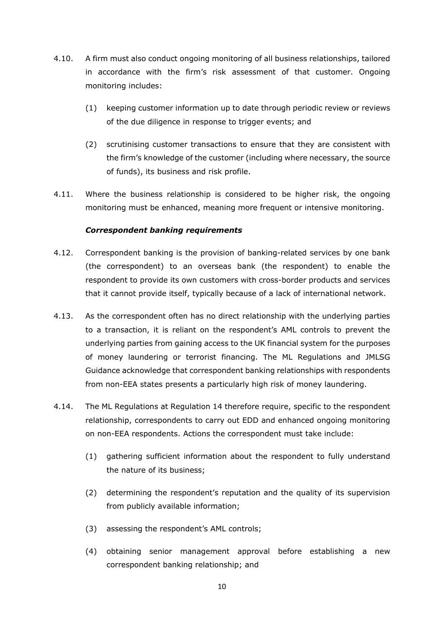- 4.10. A firm must also conduct ongoing monitoring of all business relationships, tailored in accordance with the firm's risk assessment of that customer. Ongoing monitoring includes:
	- (1) keeping customer information up to date through periodic review or reviews of the due diligence in response to trigger events; and
	- (2) scrutinising customer transactions to ensure that they are consistent with the firm's knowledge of the customer (including where necessary, the source of funds), its business and risk profile.
- 4.11. Where the business relationship is considered to be higher risk, the ongoing monitoring must be enhanced, meaning more frequent or intensive monitoring.

## *Correspondent banking requirements*

- 4.12. Correspondent banking is the provision of banking-related services by one bank (the correspondent) to an overseas bank (the respondent) to enable the respondent to provide its own customers with cross-border products and services that it cannot provide itself, typically because of a lack of international network.
- 4.13. As the correspondent often has no direct relationship with the underlying parties to a transaction, it is reliant on the respondent's AML controls to prevent the underlying parties from gaining access to the UK financial system for the purposes of money laundering or terrorist financing. The ML Regulations and JMLSG Guidance acknowledge that correspondent banking relationships with respondents from non-EEA states presents a particularly high risk of money laundering.
- 4.14. The ML Regulations at Regulation 14 therefore require, specific to the respondent relationship, correspondents to carry out EDD and enhanced ongoing monitoring on non-EEA respondents. Actions the correspondent must take include:
	- (1) gathering sufficient information about the respondent to fully understand the nature of its business;
	- (2) determining the respondent's reputation and the quality of its supervision from publicly available information;
	- (3) assessing the respondent's AML controls;
	- (4) obtaining senior management approval before establishing a new correspondent banking relationship; and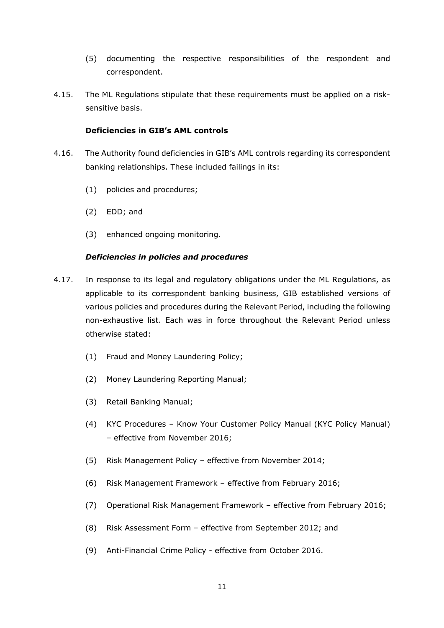- (5) documenting the respective responsibilities of the respondent and correspondent.
- 4.15. The ML Regulations stipulate that these requirements must be applied on a risksensitive basis.

## **Deficiencies in GIB's AML controls**

- 4.16. The Authority found deficiencies in GIB's AML controls regarding its correspondent banking relationships. These included failings in its:
	- (1) policies and procedures;
	- (2) EDD; and
	- (3) enhanced ongoing monitoring.

## *Deficiencies in policies and procedures*

- 4.17. In response to its legal and regulatory obligations under the ML Regulations, as applicable to its correspondent banking business, GIB established versions of various policies and procedures during the Relevant Period, including the following non-exhaustive list. Each was in force throughout the Relevant Period unless otherwise stated:
	- (1) Fraud and Money Laundering Policy;
	- (2) Money Laundering Reporting Manual;
	- (3) Retail Banking Manual;
	- (4) KYC Procedures Know Your Customer Policy Manual (KYC Policy Manual) – effective from November 2016;
	- (5) Risk Management Policy effective from November 2014;
	- (6) Risk Management Framework effective from February 2016;
	- (7) Operational Risk Management Framework effective from February 2016;
	- (8) Risk Assessment Form effective from September 2012; and
	- (9) Anti-Financial Crime Policy effective from October 2016.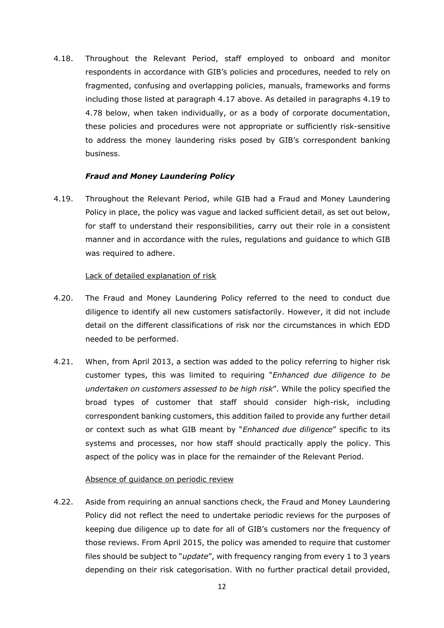4.18. Throughout the Relevant Period, staff employed to onboard and monitor respondents in accordance with GIB's policies and procedures, needed to rely on fragmented, confusing and overlapping policies, manuals, frameworks and forms including those listed at paragraph 4.17 above. As detailed in paragraphs 4.19 to 4.78 below, when taken individually, or as a body of corporate documentation, these policies and procedures were not appropriate or sufficiently risk-sensitive to address the money laundering risks posed by GIB's correspondent banking business.

## *Fraud and Money Laundering Policy*

4.19. Throughout the Relevant Period, while GIB had a Fraud and Money Laundering Policy in place, the policy was vague and lacked sufficient detail, as set out below, for staff to understand their responsibilities, carry out their role in a consistent manner and in accordance with the rules, regulations and guidance to which GIB was required to adhere.

## Lack of detailed explanation of risk

- 4.20. The Fraud and Money Laundering Policy referred to the need to conduct due diligence to identify all new customers satisfactorily. However, it did not include detail on the different classifications of risk nor the circumstances in which EDD needed to be performed.
- 4.21. When, from April 2013, a section was added to the policy referring to higher risk customer types, this was limited to requiring "*Enhanced due diligence to be undertaken on customers assessed to be high risk*". While the policy specified the broad types of customer that staff should consider high-risk, including correspondent banking customers, this addition failed to provide any further detail or context such as what GIB meant by "*Enhanced due diligence*" specific to its systems and processes, nor how staff should practically apply the policy. This aspect of the policy was in place for the remainder of the Relevant Period.

### Absence of guidance on periodic review

4.22. Aside from requiring an annual sanctions check, the Fraud and Money Laundering Policy did not reflect the need to undertake periodic reviews for the purposes of keeping due diligence up to date for all of GIB's customers nor the frequency of those reviews. From April 2015, the policy was amended to require that customer files should be subject to "*update*", with frequency ranging from every 1 to 3 years depending on their risk categorisation. With no further practical detail provided,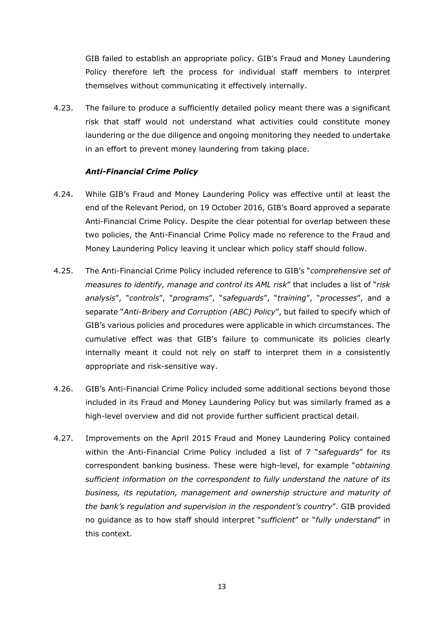GIB failed to establish an appropriate policy. GIB's Fraud and Money Laundering Policy therefore left the process for individual staff members to interpret themselves without communicating it effectively internally.

4.23. The failure to produce a sufficiently detailed policy meant there was a significant risk that staff would not understand what activities could constitute money laundering or the due diligence and ongoing monitoring they needed to undertake in an effort to prevent money laundering from taking place.

## *Anti-Financial Crime Policy*

- 4.24. While GIB's Fraud and Money Laundering Policy was effective until at least the end of the Relevant Period, on 19 October 2016, GIB's Board approved a separate Anti-Financial Crime Policy. Despite the clear potential for overlap between these two policies, the Anti-Financial Crime Policy made no reference to the Fraud and Money Laundering Policy leaving it unclear which policy staff should follow.
- 4.25. The Anti-Financial Crime Policy included reference to GIB's "*comprehensive set of measures to identify, manage and control its AML risk*" that includes a list of "*risk analysis*", "*controls*", "*programs*", "*safeguards*", "*training*", "*processes*", and a separate "*Anti-Bribery and Corruption (ABC) Policy*", but failed to specify which of GIB's various policies and procedures were applicable in which circumstances. The cumulative effect was that GIB's failure to communicate its policies clearly internally meant it could not rely on staff to interpret them in a consistently appropriate and risk-sensitive way.
- 4.26. GIB's Anti-Financial Crime Policy included some additional sections beyond those included in its Fraud and Money Laundering Policy but was similarly framed as a high-level overview and did not provide further sufficient practical detail.
- 4.27. Improvements on the April 2015 Fraud and Money Laundering Policy contained within the Anti-Financial Crime Policy included a list of 7 "*safeguards*" for its correspondent banking business. These were high-level, for example "*obtaining sufficient information on the correspondent to fully understand the nature of its business, its reputation, management and ownership structure and maturity of the bank's regulation and supervision in the respondent's country*". GIB provided no guidance as to how staff should interpret "*sufficient*" or "*fully understand*" in this context.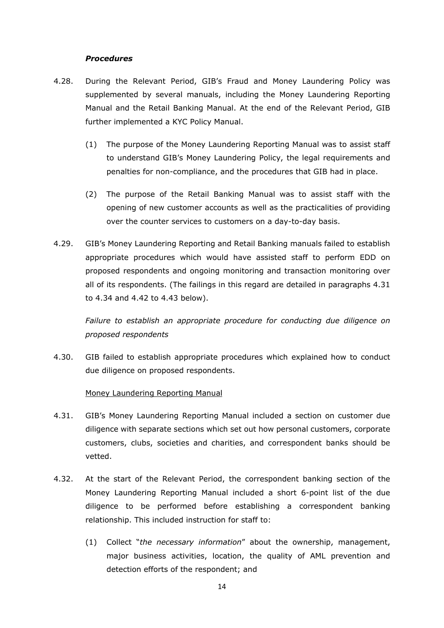### *Procedures*

- 4.28. During the Relevant Period, GIB's Fraud and Money Laundering Policy was supplemented by several manuals, including the Money Laundering Reporting Manual and the Retail Banking Manual. At the end of the Relevant Period, GIB further implemented a KYC Policy Manual.
	- (1) The purpose of the Money Laundering Reporting Manual was to assist staff to understand GIB's Money Laundering Policy, the legal requirements and penalties for non-compliance, and the procedures that GIB had in place.
	- (2) The purpose of the Retail Banking Manual was to assist staff with the opening of new customer accounts as well as the practicalities of providing over the counter services to customers on a day-to-day basis.
- 4.29. GIB's Money Laundering Reporting and Retail Banking manuals failed to establish appropriate procedures which would have assisted staff to perform EDD on proposed respondents and ongoing monitoring and transaction monitoring over all of its respondents. (The failings in this regard are detailed in paragraphs 4.31 to 4.34 and 4.42 to 4.43 below).

*Failure to establish an appropriate procedure for conducting due diligence on proposed respondents*

4.30. GIB failed to establish appropriate procedures which explained how to conduct due diligence on proposed respondents.

### Money Laundering Reporting Manual

- 4.31. GIB's Money Laundering Reporting Manual included a section on customer due diligence with separate sections which set out how personal customers, corporate customers, clubs, societies and charities, and correspondent banks should be vetted.
- 4.32. At the start of the Relevant Period, the correspondent banking section of the Money Laundering Reporting Manual included a short 6-point list of the due diligence to be performed before establishing a correspondent banking relationship. This included instruction for staff to:
	- (1) Collect "*the necessary information*" about the ownership, management, major business activities, location, the quality of AML prevention and detection efforts of the respondent; and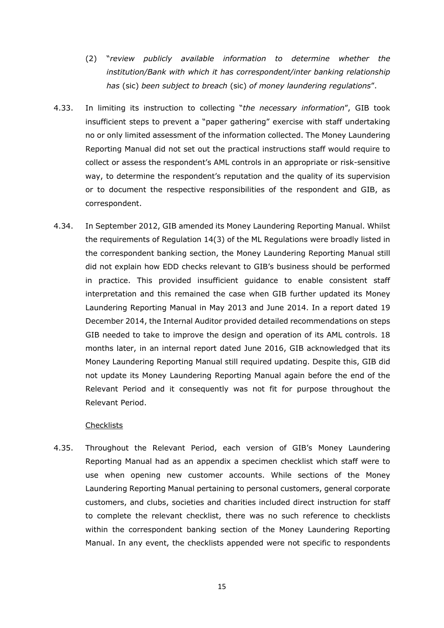- (2) "*review publicly available information to determine whether the institution/Bank with which it has correspondent/inter banking relationship has* (sic) *been subject to breach* (sic) *of money laundering regulations*".
- 4.33. In limiting its instruction to collecting "*the necessary information*", GIB took insufficient steps to prevent a "paper gathering" exercise with staff undertaking no or only limited assessment of the information collected. The Money Laundering Reporting Manual did not set out the practical instructions staff would require to collect or assess the respondent's AML controls in an appropriate or risk-sensitive way, to determine the respondent's reputation and the quality of its supervision or to document the respective responsibilities of the respondent and GIB, as correspondent.
- 4.34. In September 2012, GIB amended its Money Laundering Reporting Manual. Whilst the requirements of Regulation 14(3) of the ML Regulations were broadly listed in the correspondent banking section, the Money Laundering Reporting Manual still did not explain how EDD checks relevant to GIB's business should be performed in practice. This provided insufficient guidance to enable consistent staff interpretation and this remained the case when GIB further updated its Money Laundering Reporting Manual in May 2013 and June 2014. In a report dated 19 December 2014, the Internal Auditor provided detailed recommendations on steps GIB needed to take to improve the design and operation of its AML controls. 18 months later, in an internal report dated June 2016, GIB acknowledged that its Money Laundering Reporting Manual still required updating. Despite this, GIB did not update its Money Laundering Reporting Manual again before the end of the Relevant Period and it consequently was not fit for purpose throughout the Relevant Period.

### **Checklists**

4.35. Throughout the Relevant Period, each version of GIB's Money Laundering Reporting Manual had as an appendix a specimen checklist which staff were to use when opening new customer accounts. While sections of the Money Laundering Reporting Manual pertaining to personal customers, general corporate customers, and clubs, societies and charities included direct instruction for staff to complete the relevant checklist, there was no such reference to checklists within the correspondent banking section of the Money Laundering Reporting Manual. In any event, the checklists appended were not specific to respondents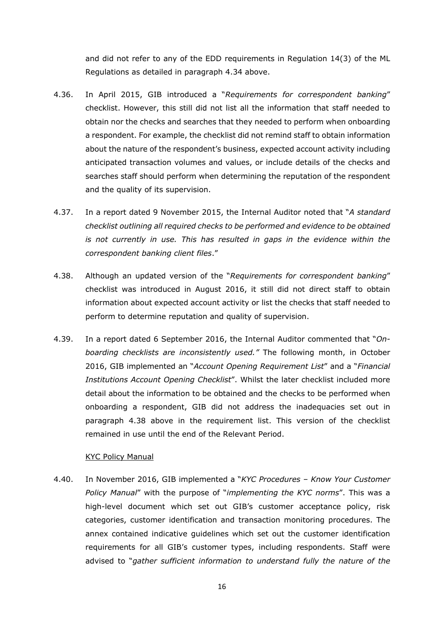and did not refer to any of the EDD requirements in Regulation 14(3) of the ML Regulations as detailed in paragraph 4.34 above.

- 4.36. In April 2015, GIB introduced a "*Requirements for correspondent banking*" checklist. However, this still did not list all the information that staff needed to obtain nor the checks and searches that they needed to perform when onboarding a respondent. For example, the checklist did not remind staff to obtain information about the nature of the respondent's business, expected account activity including anticipated transaction volumes and values, or include details of the checks and searches staff should perform when determining the reputation of the respondent and the quality of its supervision.
- 4.37. In a report dated 9 November 2015, the Internal Auditor noted that "*A standard checklist outlining all required checks to be performed and evidence to be obtained is not currently in use. This has resulted in gaps in the evidence within the correspondent banking client files*."
- 4.38. Although an updated version of the "*Requirements for correspondent banking*" checklist was introduced in August 2016, it still did not direct staff to obtain information about expected account activity or list the checks that staff needed to perform to determine reputation and quality of supervision.
- 4.39. In a report dated 6 September 2016, the Internal Auditor commented that "*Onboarding checklists are inconsistently used."* The following month, in October 2016, GIB implemented an "*Account Opening Requirement List*" and a "*Financial Institutions Account Opening Checklist*". Whilst the later checklist included more detail about the information to be obtained and the checks to be performed when onboarding a respondent, GIB did not address the inadequacies set out in paragraph 4.38 above in the requirement list. This version of the checklist remained in use until the end of the Relevant Period.

### KYC Policy Manual

4.40. In November 2016, GIB implemented a "*KYC Procedures – Know Your Customer Policy Manual*" with the purpose of "*implementing the KYC norms*". This was a high-level document which set out GIB's customer acceptance policy, risk categories, customer identification and transaction monitoring procedures. The annex contained indicative guidelines which set out the customer identification requirements for all GIB's customer types, including respondents. Staff were advised to "*gather sufficient information to understand fully the nature of the*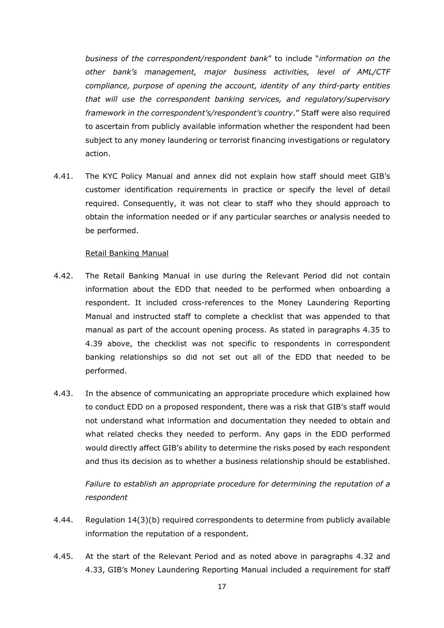*business of the correspondent/respondent bank*" to include "*information on the other bank's management, major business activities, level of AML/CTF compliance, purpose of opening the account, identity of any third-party entities that will use the correspondent banking services, and regulatory/supervisory framework in the correspondent's/respondent's country*." Staff were also required to ascertain from publicly available information whether the respondent had been subject to any money laundering or terrorist financing investigations or regulatory action.

4.41. The KYC Policy Manual and annex did not explain how staff should meet GIB's customer identification requirements in practice or specify the level of detail required. Consequently, it was not clear to staff who they should approach to obtain the information needed or if any particular searches or analysis needed to be performed.

## Retail Banking Manual

- 4.42. The Retail Banking Manual in use during the Relevant Period did not contain information about the EDD that needed to be performed when onboarding a respondent. It included cross-references to the Money Laundering Reporting Manual and instructed staff to complete a checklist that was appended to that manual as part of the account opening process. As stated in paragraphs 4.35 to 4.39 above, the checklist was not specific to respondents in correspondent banking relationships so did not set out all of the EDD that needed to be performed.
- 4.43. In the absence of communicating an appropriate procedure which explained how to conduct EDD on a proposed respondent, there was a risk that GIB's staff would not understand what information and documentation they needed to obtain and what related checks they needed to perform. Any gaps in the EDD performed would directly affect GIB's ability to determine the risks posed by each respondent and thus its decision as to whether a business relationship should be established.

*Failure to establish an appropriate procedure for determining the reputation of a respondent*

- 4.44. Regulation 14(3)(b) required correspondents to determine from publicly available information the reputation of a respondent.
- 4.45. At the start of the Relevant Period and as noted above in paragraphs 4.32 and 4.33, GIB's Money Laundering Reporting Manual included a requirement for staff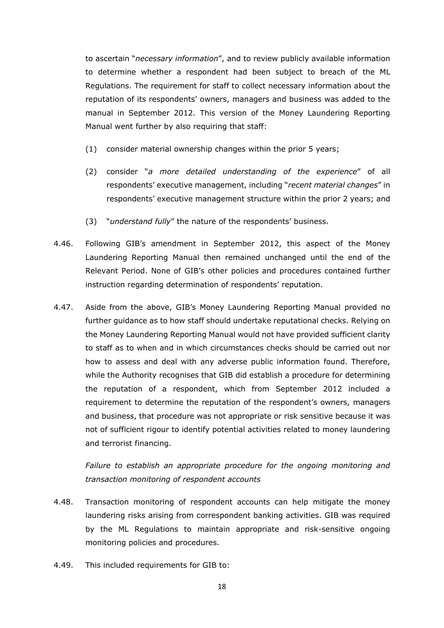to ascertain "*necessary information*", and to review publicly available information to determine whether a respondent had been subject to breach of the ML Regulations. The requirement for staff to collect necessary information about the reputation of its respondents' owners, managers and business was added to the manual in September 2012. This version of the Money Laundering Reporting Manual went further by also requiring that staff:

- (1) consider material ownership changes within the prior 5 years;
- (2) consider "*a more detailed understanding of the experience*" of all respondents' executive management, including "*recent material changes*" in respondents' executive management structure within the prior 2 years; and
- (3) "*understand fully*" the nature of the respondents' business.
- 4.46. Following GIB's amendment in September 2012, this aspect of the Money Laundering Reporting Manual then remained unchanged until the end of the Relevant Period. None of GIB's other policies and procedures contained further instruction regarding determination of respondents' reputation.
- 4.47. Aside from the above, GIB's Money Laundering Reporting Manual provided no further guidance as to how staff should undertake reputational checks. Relying on the Money Laundering Reporting Manual would not have provided sufficient clarity to staff as to when and in which circumstances checks should be carried out nor how to assess and deal with any adverse public information found. Therefore, while the Authority recognises that GIB did establish a procedure for determining the reputation of a respondent, which from September 2012 included a requirement to determine the reputation of the respondent's owners, managers and business, that procedure was not appropriate or risk sensitive because it was not of sufficient rigour to identify potential activities related to money laundering and terrorist financing.

*Failure to establish an appropriate procedure for the ongoing monitoring and transaction monitoring of respondent accounts*

- 4.48. Transaction monitoring of respondent accounts can help mitigate the money laundering risks arising from correspondent banking activities. GIB was required by the ML Regulations to maintain appropriate and risk-sensitive ongoing monitoring policies and procedures.
- 4.49. This included requirements for GIB to: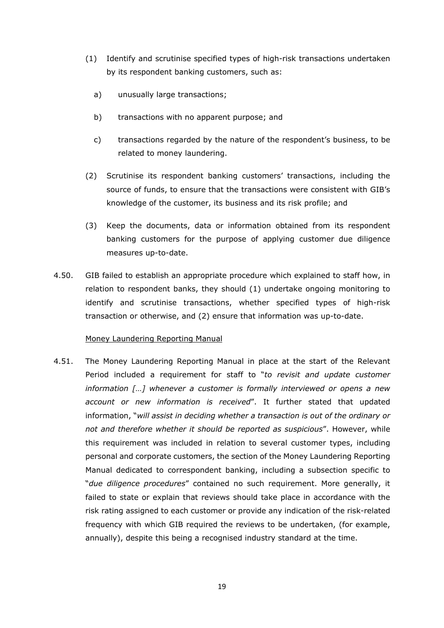- (1) Identify and scrutinise specified types of high-risk transactions undertaken by its respondent banking customers, such as:
	- a) unusually large transactions;
	- b) transactions with no apparent purpose; and
	- c) transactions regarded by the nature of the respondent's business, to be related to money laundering.
- (2) Scrutinise its respondent banking customers' transactions, including the source of funds, to ensure that the transactions were consistent with GIB's knowledge of the customer, its business and its risk profile; and
- (3) Keep the documents, data or information obtained from its respondent banking customers for the purpose of applying customer due diligence measures up-to-date.
- 4.50. GIB failed to establish an appropriate procedure which explained to staff how, in relation to respondent banks, they should (1) undertake ongoing monitoring to identify and scrutinise transactions, whether specified types of high-risk transaction or otherwise, and (2) ensure that information was up-to-date.

## Money Laundering Reporting Manual

4.51. The Money Laundering Reporting Manual in place at the start of the Relevant Period included a requirement for staff to "*to revisit and update customer information […] whenever a customer is formally interviewed or opens a new account or new information is received*". It further stated that updated information, "*will assist in deciding whether a transaction is out of the ordinary or not and therefore whether it should be reported as suspicious*". However, while this requirement was included in relation to several customer types, including personal and corporate customers, the section of the Money Laundering Reporting Manual dedicated to correspondent banking, including a subsection specific to "*due diligence procedures*" contained no such requirement. More generally, it failed to state or explain that reviews should take place in accordance with the risk rating assigned to each customer or provide any indication of the risk-related frequency with which GIB required the reviews to be undertaken, (for example, annually), despite this being a recognised industry standard at the time.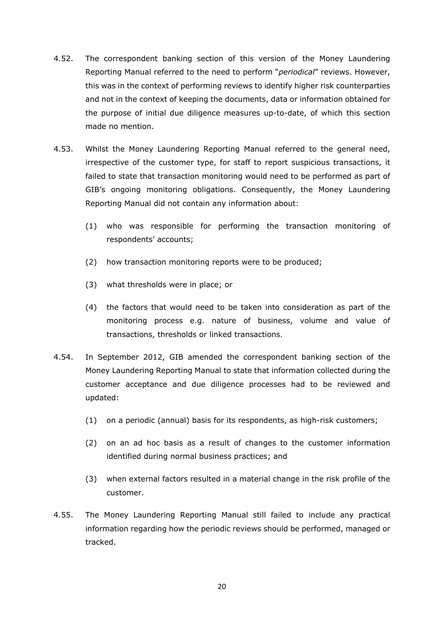- 4.52. The correspondent banking section of this version of the Money Laundering Reporting Manual referred to the need to perform "*periodical*" reviews. However, this was in the context of performing reviews to identify higher risk counterparties and not in the context of keeping the documents, data or information obtained for the purpose of initial due diligence measures up-to-date, of which this section made no mention.
- 4.53. Whilst the Money Laundering Reporting Manual referred to the general need, irrespective of the customer type, for staff to report suspicious transactions, it failed to state that transaction monitoring would need to be performed as part of GIB's ongoing monitoring obligations. Consequently, the Money Laundering Reporting Manual did not contain any information about:
	- (1) who was responsible for performing the transaction monitoring of respondents' accounts;
	- (2) how transaction monitoring reports were to be produced;
	- (3) what thresholds were in place; or
	- (4) the factors that would need to be taken into consideration as part of the monitoring process e.g. nature of business, volume and value of transactions, thresholds or linked transactions.
- 4.54. In September 2012, GIB amended the correspondent banking section of the Money Laundering Reporting Manual to state that information collected during the customer acceptance and due diligence processes had to be reviewed and updated:
	- (1) on a periodic (annual) basis for its respondents, as high-risk customers;
	- (2) on an ad hoc basis as a result of changes to the customer information identified during normal business practices; and
	- (3) when external factors resulted in a material change in the risk profile of the customer.
- 4.55. The Money Laundering Reporting Manual still failed to include any practical information regarding how the periodic reviews should be performed, managed or tracked.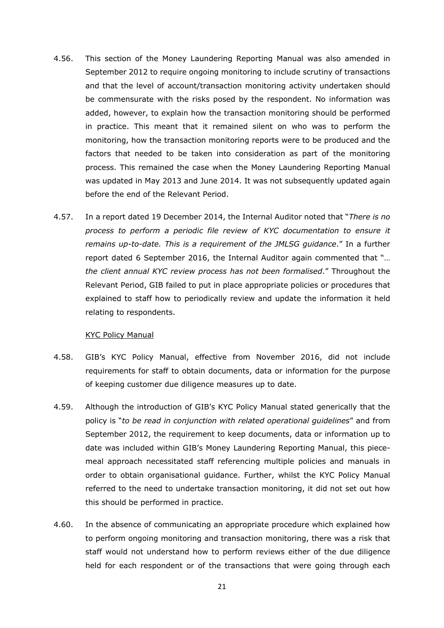- 4.56. This section of the Money Laundering Reporting Manual was also amended in September 2012 to require ongoing monitoring to include scrutiny of transactions and that the level of account/transaction monitoring activity undertaken should be commensurate with the risks posed by the respondent. No information was added, however, to explain how the transaction monitoring should be performed in practice. This meant that it remained silent on who was to perform the monitoring, how the transaction monitoring reports were to be produced and the factors that needed to be taken into consideration as part of the monitoring process. This remained the case when the Money Laundering Reporting Manual was updated in May 2013 and June 2014. It was not subsequently updated again before the end of the Relevant Period.
- 4.57. In a report dated 19 December 2014, the Internal Auditor noted that "*There is no process to perform a periodic file review of KYC documentation to ensure it remains up-to-date. This is a requirement of the JMLSG guidance*." In a further report dated 6 September 2016, the Internal Auditor again commented that "… *the client annual KYC review process has not been formalised*." Throughout the Relevant Period, GIB failed to put in place appropriate policies or procedures that explained to staff how to periodically review and update the information it held relating to respondents.

#### KYC Policy Manual

- 4.58. GIB's KYC Policy Manual, effective from November 2016, did not include requirements for staff to obtain documents, data or information for the purpose of keeping customer due diligence measures up to date.
- 4.59. Although the introduction of GIB's KYC Policy Manual stated generically that the policy is "*to be read in conjunction with related operational guidelines*" and from September 2012, the requirement to keep documents, data or information up to date was included within GIB's Money Laundering Reporting Manual, this piecemeal approach necessitated staff referencing multiple policies and manuals in order to obtain organisational guidance. Further, whilst the KYC Policy Manual referred to the need to undertake transaction monitoring, it did not set out how this should be performed in practice.
- 4.60. In the absence of communicating an appropriate procedure which explained how to perform ongoing monitoring and transaction monitoring, there was a risk that staff would not understand how to perform reviews either of the due diligence held for each respondent or of the transactions that were going through each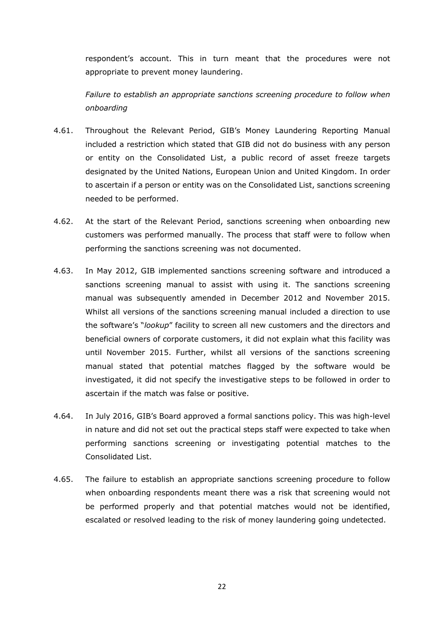respondent's account. This in turn meant that the procedures were not appropriate to prevent money laundering.

*Failure to establish an appropriate sanctions screening procedure to follow when onboarding*

- 4.61. Throughout the Relevant Period, GIB's Money Laundering Reporting Manual included a restriction which stated that GIB did not do business with any person or entity on the Consolidated List, a public record of asset freeze targets designated by the United Nations, European Union and United Kingdom. In order to ascertain if a person or entity was on the Consolidated List, sanctions screening needed to be performed.
- 4.62. At the start of the Relevant Period, sanctions screening when onboarding new customers was performed manually. The process that staff were to follow when performing the sanctions screening was not documented.
- 4.63. In May 2012, GIB implemented sanctions screening software and introduced a sanctions screening manual to assist with using it. The sanctions screening manual was subsequently amended in December 2012 and November 2015. Whilst all versions of the sanctions screening manual included a direction to use the software's "*lookup*" facility to screen all new customers and the directors and beneficial owners of corporate customers, it did not explain what this facility was until November 2015. Further, whilst all versions of the sanctions screening manual stated that potential matches flagged by the software would be investigated, it did not specify the investigative steps to be followed in order to ascertain if the match was false or positive.
- 4.64. In July 2016, GIB's Board approved a formal sanctions policy. This was high-level in nature and did not set out the practical steps staff were expected to take when performing sanctions screening or investigating potential matches to the Consolidated List.
- 4.65. The failure to establish an appropriate sanctions screening procedure to follow when onboarding respondents meant there was a risk that screening would not be performed properly and that potential matches would not be identified, escalated or resolved leading to the risk of money laundering going undetected.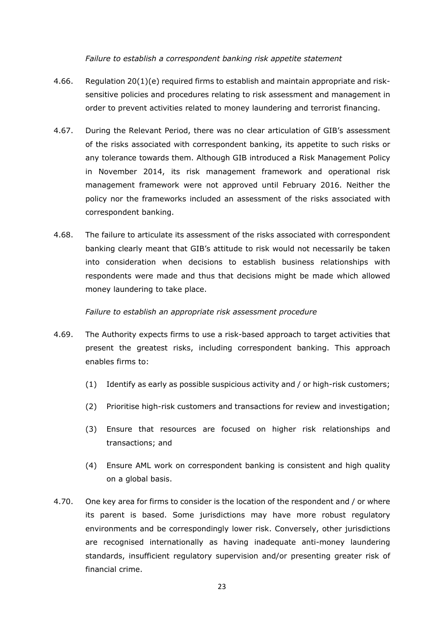### *Failure to establish a correspondent banking risk appetite statement*

- 4.66. Regulation 20(1)(e) required firms to establish and maintain appropriate and risksensitive policies and procedures relating to risk assessment and management in order to prevent activities related to money laundering and terrorist financing.
- 4.67. During the Relevant Period, there was no clear articulation of GIB's assessment of the risks associated with correspondent banking, its appetite to such risks or any tolerance towards them. Although GIB introduced a Risk Management Policy in November 2014, its risk management framework and operational risk management framework were not approved until February 2016. Neither the policy nor the frameworks included an assessment of the risks associated with correspondent banking.
- 4.68. The failure to articulate its assessment of the risks associated with correspondent banking clearly meant that GIB's attitude to risk would not necessarily be taken into consideration when decisions to establish business relationships with respondents were made and thus that decisions might be made which allowed money laundering to take place.

### *Failure to establish an appropriate risk assessment procedure*

- 4.69. The Authority expects firms to use a risk-based approach to target activities that present the greatest risks, including correspondent banking. This approach enables firms to:
	- (1) Identify as early as possible suspicious activity and / or high-risk customers;
	- (2) Prioritise high-risk customers and transactions for review and investigation;
	- (3) Ensure that resources are focused on higher risk relationships and transactions; and
	- (4) Ensure AML work on correspondent banking is consistent and high quality on a global basis.
- 4.70. One key area for firms to consider is the location of the respondent and / or where its parent is based. Some jurisdictions may have more robust regulatory environments and be correspondingly lower risk. Conversely, other jurisdictions are recognised internationally as having inadequate anti-money laundering standards, insufficient regulatory supervision and/or presenting greater risk of financial crime.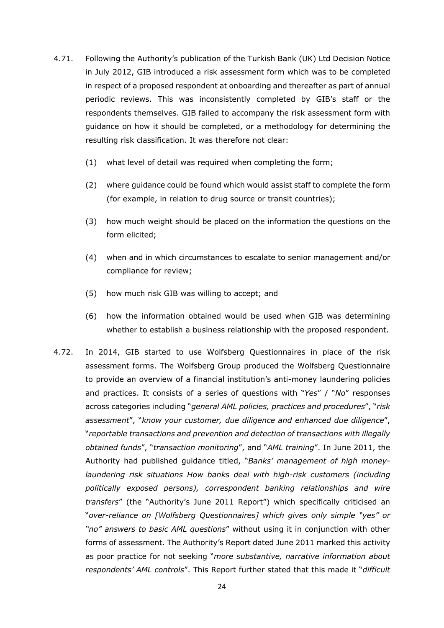- 4.71. Following the Authority's publication of the Turkish Bank (UK) Ltd Decision Notice in July 2012, GIB introduced a risk assessment form which was to be completed in respect of a proposed respondent at onboarding and thereafter as part of annual periodic reviews. This was inconsistently completed by GIB's staff or the respondents themselves. GIB failed to accompany the risk assessment form with guidance on how it should be completed, or a methodology for determining the resulting risk classification. It was therefore not clear:
	- (1) what level of detail was required when completing the form;
	- (2) where guidance could be found which would assist staff to complete the form (for example, in relation to drug source or transit countries);
	- (3) how much weight should be placed on the information the questions on the form elicited;
	- (4) when and in which circumstances to escalate to senior management and/or compliance for review;
	- (5) how much risk GIB was willing to accept; and
	- (6) how the information obtained would be used when GIB was determining whether to establish a business relationship with the proposed respondent.
- 4.72. In 2014, GIB started to use Wolfsberg Questionnaires in place of the risk assessment forms. The Wolfsberg Group produced the Wolfsberg Questionnaire to provide an overview of a financial institution's anti-money laundering policies and practices. It consists of a series of questions with "*Yes*" / "*No*" responses across categories including "*general AML policies, practices and procedures*", "*risk assessment*", "*know your customer, due diligence and enhanced due diligence*", "*reportable transactions and prevention and detection of transactions with illegally obtained funds*", "*transaction monitoring*", and "*AML training*". In June 2011, the Authority had published guidance titled, "*Banks' management of high moneylaundering risk situations How banks deal with high-risk customers (including politically exposed persons), correspondent banking relationships and wire transfers*" (the "Authority's June 2011 Report") which specifically criticised an "*over-reliance on [Wolfsberg Questionnaires] which gives only simple "yes" or "no" answers to basic AML questions*" without using it in conjunction with other forms of assessment. The Authority's Report dated June 2011 marked this activity as poor practice for not seeking "*more substantive, narrative information about respondents' AML controls*". This Report further stated that this made it "*difficult*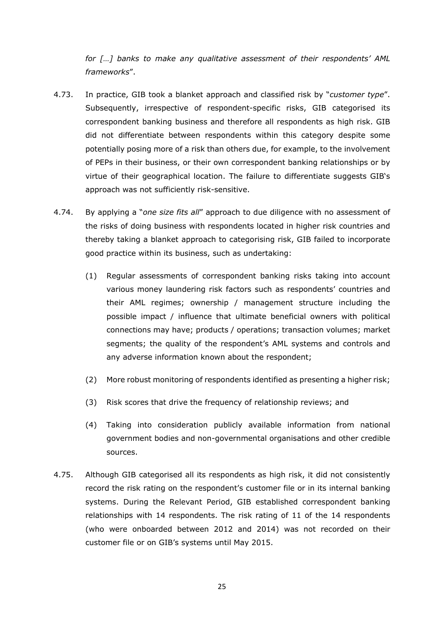*for […] banks to make any qualitative assessment of their respondents' AML frameworks*".

- 4.73. In practice, GIB took a blanket approach and classified risk by "*customer type*". Subsequently, irrespective of respondent-specific risks, GIB categorised its correspondent banking business and therefore all respondents as high risk. GIB did not differentiate between respondents within this category despite some potentially posing more of a risk than others due, for example, to the involvement of PEPs in their business, or their own correspondent banking relationships or by virtue of their geographical location. The failure to differentiate suggests GIB's approach was not sufficiently risk-sensitive.
- 4.74. By applying a "*one size fits all*" approach to due diligence with no assessment of the risks of doing business with respondents located in higher risk countries and thereby taking a blanket approach to categorising risk, GIB failed to incorporate good practice within its business, such as undertaking:
	- (1) Regular assessments of correspondent banking risks taking into account various money laundering risk factors such as respondents' countries and their AML regimes; ownership / management structure including the possible impact / influence that ultimate beneficial owners with political connections may have; products / operations; transaction volumes; market segments; the quality of the respondent's AML systems and controls and any adverse information known about the respondent;
	- (2) More robust monitoring of respondents identified as presenting a higher risk;
	- (3) Risk scores that drive the frequency of relationship reviews; and
	- (4) Taking into consideration publicly available information from national government bodies and non-governmental organisations and other credible sources.
- 4.75. Although GIB categorised all its respondents as high risk, it did not consistently record the risk rating on the respondent's customer file or in its internal banking systems. During the Relevant Period, GIB established correspondent banking relationships with 14 respondents. The risk rating of 11 of the 14 respondents (who were onboarded between 2012 and 2014) was not recorded on their customer file or on GIB's systems until May 2015.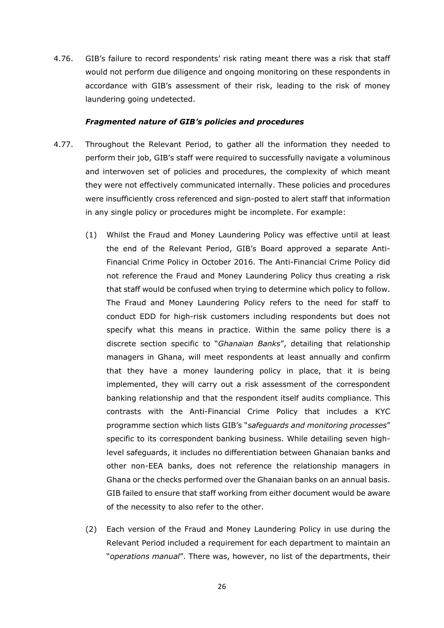4.76. GIB's failure to record respondents' risk rating meant there was a risk that staff would not perform due diligence and ongoing monitoring on these respondents in accordance with GIB's assessment of their risk, leading to the risk of money laundering going undetected.

### *Fragmented nature of GIB's policies and procedures*

- 4.77. Throughout the Relevant Period, to gather all the information they needed to perform their job, GIB's staff were required to successfully navigate a voluminous and interwoven set of policies and procedures, the complexity of which meant they were not effectively communicated internally. These policies and procedures were insufficiently cross referenced and sign-posted to alert staff that information in any single policy or procedures might be incomplete. For example:
	- (1) Whilst the Fraud and Money Laundering Policy was effective until at least the end of the Relevant Period, GIB's Board approved a separate Anti-Financial Crime Policy in October 2016. The Anti-Financial Crime Policy did not reference the Fraud and Money Laundering Policy thus creating a risk that staff would be confused when trying to determine which policy to follow. The Fraud and Money Laundering Policy refers to the need for staff to conduct EDD for high-risk customers including respondents but does not specify what this means in practice. Within the same policy there is a discrete section specific to "*Ghanaian Banks*", detailing that relationship managers in Ghana, will meet respondents at least annually and confirm that they have a money laundering policy in place, that it is being implemented, they will carry out a risk assessment of the correspondent banking relationship and that the respondent itself audits compliance. This contrasts with the Anti-Financial Crime Policy that includes a KYC programme section which lists GIB's "*safeguards and monitoring processes*" specific to its correspondent banking business. While detailing seven highlevel safeguards, it includes no differentiation between Ghanaian banks and other non-EEA banks, does not reference the relationship managers in Ghana or the checks performed over the Ghanaian banks on an annual basis. GIB failed to ensure that staff working from either document would be aware of the necessity to also refer to the other.
	- (2) Each version of the Fraud and Money Laundering Policy in use during the Relevant Period included a requirement for each department to maintain an "*operations manual*". There was, however, no list of the departments, their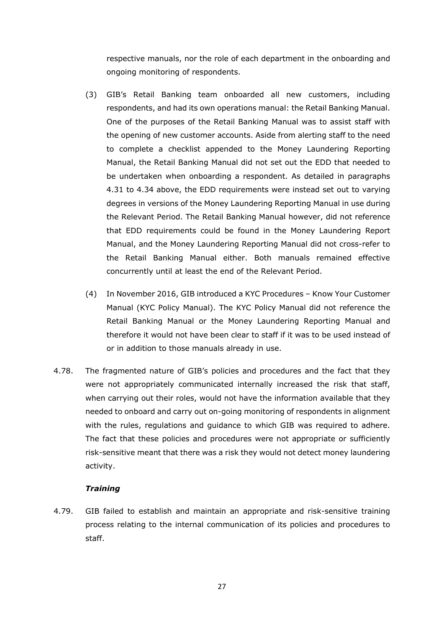respective manuals, nor the role of each department in the onboarding and ongoing monitoring of respondents.

- (3) GIB's Retail Banking team onboarded all new customers, including respondents, and had its own operations manual: the Retail Banking Manual. One of the purposes of the Retail Banking Manual was to assist staff with the opening of new customer accounts. Aside from alerting staff to the need to complete a checklist appended to the Money Laundering Reporting Manual, the Retail Banking Manual did not set out the EDD that needed to be undertaken when onboarding a respondent. As detailed in paragraphs 4.31 to 4.34 above, the EDD requirements were instead set out to varying degrees in versions of the Money Laundering Reporting Manual in use during the Relevant Period. The Retail Banking Manual however, did not reference that EDD requirements could be found in the Money Laundering Report Manual, and the Money Laundering Reporting Manual did not cross-refer to the Retail Banking Manual either. Both manuals remained effective concurrently until at least the end of the Relevant Period.
- (4) In November 2016, GIB introduced a KYC Procedures Know Your Customer Manual (KYC Policy Manual). The KYC Policy Manual did not reference the Retail Banking Manual or the Money Laundering Reporting Manual and therefore it would not have been clear to staff if it was to be used instead of or in addition to those manuals already in use.
- 4.78. The fragmented nature of GIB's policies and procedures and the fact that they were not appropriately communicated internally increased the risk that staff, when carrying out their roles, would not have the information available that they needed to onboard and carry out on-going monitoring of respondents in alignment with the rules, regulations and guidance to which GIB was required to adhere. The fact that these policies and procedures were not appropriate or sufficiently risk-sensitive meant that there was a risk they would not detect money laundering activity.

## *Training*

4.79. GIB failed to establish and maintain an appropriate and risk-sensitive training process relating to the internal communication of its policies and procedures to staff.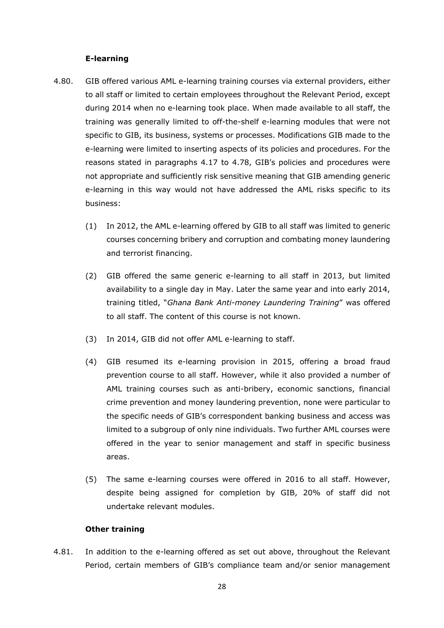## **E-learning**

- 4.80. GIB offered various AML e-learning training courses via external providers, either to all staff or limited to certain employees throughout the Relevant Period, except during 2014 when no e-learning took place. When made available to all staff, the training was generally limited to off-the-shelf e-learning modules that were not specific to GIB, its business, systems or processes. Modifications GIB made to the e-learning were limited to inserting aspects of its policies and procedures. For the reasons stated in paragraphs 4.17 to 4.78, GIB's policies and procedures were not appropriate and sufficiently risk sensitive meaning that GIB amending generic e-learning in this way would not have addressed the AML risks specific to its business:
	- (1) In 2012, the AML e-learning offered by GIB to all staff was limited to generic courses concerning bribery and corruption and combating money laundering and terrorist financing.
	- (2) GIB offered the same generic e-learning to all staff in 2013, but limited availability to a single day in May. Later the same year and into early 2014, training titled, "*Ghana Bank Anti-money Laundering Training*" was offered to all staff. The content of this course is not known.
	- (3) In 2014, GIB did not offer AML e-learning to staff.
	- (4) GIB resumed its e-learning provision in 2015, offering a broad fraud prevention course to all staff. However, while it also provided a number of AML training courses such as anti-bribery, economic sanctions, financial crime prevention and money laundering prevention, none were particular to the specific needs of GIB's correspondent banking business and access was limited to a subgroup of only nine individuals. Two further AML courses were offered in the year to senior management and staff in specific business areas.
	- (5) The same e-learning courses were offered in 2016 to all staff. However, despite being assigned for completion by GIB, 20% of staff did not undertake relevant modules.

### **Other training**

4.81. In addition to the e-learning offered as set out above, throughout the Relevant Period, certain members of GIB's compliance team and/or senior management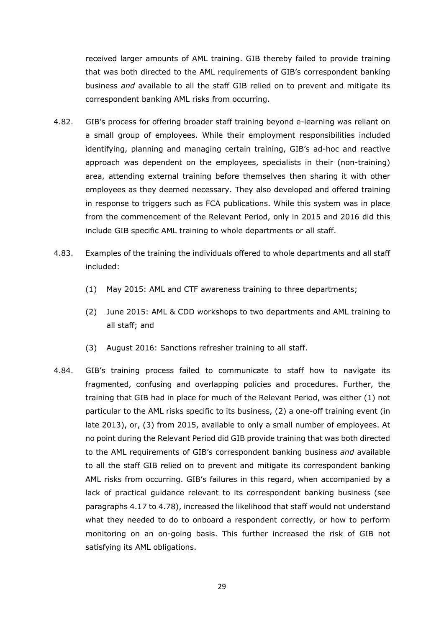received larger amounts of AML training. GIB thereby failed to provide training that was both directed to the AML requirements of GIB's correspondent banking business *and* available to all the staff GIB relied on to prevent and mitigate its correspondent banking AML risks from occurring.

- 4.82. GIB's process for offering broader staff training beyond e-learning was reliant on a small group of employees. While their employment responsibilities included identifying, planning and managing certain training, GIB's ad-hoc and reactive approach was dependent on the employees, specialists in their (non-training) area, attending external training before themselves then sharing it with other employees as they deemed necessary. They also developed and offered training in response to triggers such as FCA publications. While this system was in place from the commencement of the Relevant Period, only in 2015 and 2016 did this include GIB specific AML training to whole departments or all staff.
- 4.83. Examples of the training the individuals offered to whole departments and all staff included:
	- (1) May 2015: AML and CTF awareness training to three departments;
	- (2) June 2015: AML & CDD workshops to two departments and AML training to all staff; and
	- (3) August 2016: Sanctions refresher training to all staff.
- 4.84. GIB's training process failed to communicate to staff how to navigate its fragmented, confusing and overlapping policies and procedures. Further, the training that GIB had in place for much of the Relevant Period, was either (1) not particular to the AML risks specific to its business, (2) a one-off training event (in late 2013), or, (3) from 2015, available to only a small number of employees. At no point during the Relevant Period did GIB provide training that was both directed to the AML requirements of GIB's correspondent banking business *and* available to all the staff GIB relied on to prevent and mitigate its correspondent banking AML risks from occurring. GIB's failures in this regard, when accompanied by a lack of practical guidance relevant to its correspondent banking business (see paragraphs 4.17 to 4.78), increased the likelihood that staff would not understand what they needed to do to onboard a respondent correctly, or how to perform monitoring on an on-going basis. This further increased the risk of GIB not satisfying its AML obligations.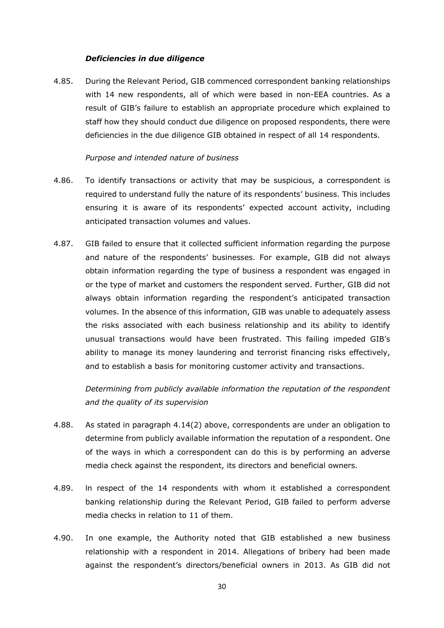### *Deficiencies in due diligence*

4.85. During the Relevant Period, GIB commenced correspondent banking relationships with 14 new respondents, all of which were based in non-EEA countries. As a result of GIB's failure to establish an appropriate procedure which explained to staff how they should conduct due diligence on proposed respondents, there were deficiencies in the due diligence GIB obtained in respect of all 14 respondents.

#### *Purpose and intended nature of business*

- 4.86. To identify transactions or activity that may be suspicious, a correspondent is required to understand fully the nature of its respondents' business. This includes ensuring it is aware of its respondents' expected account activity, including anticipated transaction volumes and values.
- 4.87. GIB failed to ensure that it collected sufficient information regarding the purpose and nature of the respondents' businesses. For example, GIB did not always obtain information regarding the type of business a respondent was engaged in or the type of market and customers the respondent served. Further, GIB did not always obtain information regarding the respondent's anticipated transaction volumes. In the absence of this information, GIB was unable to adequately assess the risks associated with each business relationship and its ability to identify unusual transactions would have been frustrated. This failing impeded GIB's ability to manage its money laundering and terrorist financing risks effectively, and to establish a basis for monitoring customer activity and transactions.

*Determining from publicly available information the reputation of the respondent and the quality of its supervision* 

- 4.88. As stated in paragraph 4.14(2) above, correspondents are under an obligation to determine from publicly available information the reputation of a respondent. One of the ways in which a correspondent can do this is by performing an adverse media check against the respondent, its directors and beneficial owners.
- 4.89. ln respect of the 14 respondents with whom it established a correspondent banking relationship during the Relevant Period, GIB failed to perform adverse media checks in relation to 11 of them.
- 4.90. In one example, the Authority noted that GIB established a new business relationship with a respondent in 2014. Allegations of bribery had been made against the respondent's directors/beneficial owners in 2013. As GIB did not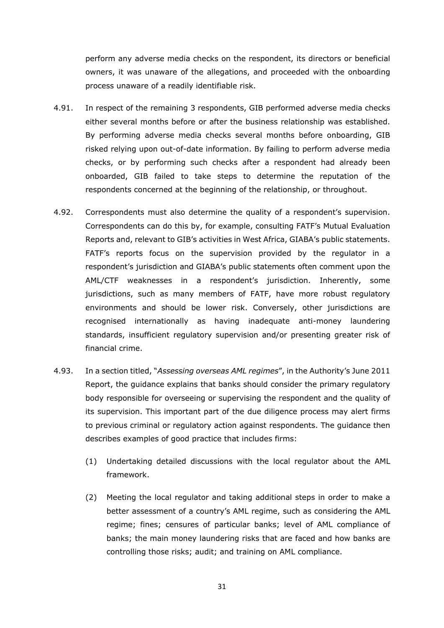perform any adverse media checks on the respondent, its directors or beneficial owners, it was unaware of the allegations, and proceeded with the onboarding process unaware of a readily identifiable risk.

- 4.91. In respect of the remaining 3 respondents, GIB performed adverse media checks either several months before or after the business relationship was established. By performing adverse media checks several months before onboarding, GIB risked relying upon out-of-date information. By failing to perform adverse media checks, or by performing such checks after a respondent had already been onboarded, GIB failed to take steps to determine the reputation of the respondents concerned at the beginning of the relationship, or throughout.
- 4.92. Correspondents must also determine the quality of a respondent's supervision. Correspondents can do this by, for example, consulting FATF's Mutual Evaluation Reports and, relevant to GIB's activities in West Africa, GIABA's public statements. FATF's reports focus on the supervision provided by the regulator in a respondent's jurisdiction and GIABA's public statements often comment upon the AML/CTF weaknesses in a respondent's jurisdiction. Inherently, some jurisdictions, such as many members of FATF, have more robust regulatory environments and should be lower risk. Conversely, other jurisdictions are recognised internationally as having inadequate anti-money laundering standards, insufficient regulatory supervision and/or presenting greater risk of financial crime.
- 4.93. In a section titled, "*Assessing overseas AML regimes*", in the Authority's June 2011 Report, the guidance explains that banks should consider the primary regulatory body responsible for overseeing or supervising the respondent and the quality of its supervision. This important part of the due diligence process may alert firms to previous criminal or regulatory action against respondents. The guidance then describes examples of good practice that includes firms:
	- (1) Undertaking detailed discussions with the local regulator about the AML framework.
	- (2) Meeting the local regulator and taking additional steps in order to make a better assessment of a country's AML regime, such as considering the AML regime; fines; censures of particular banks; level of AML compliance of banks; the main money laundering risks that are faced and how banks are controlling those risks; audit; and training on AML compliance.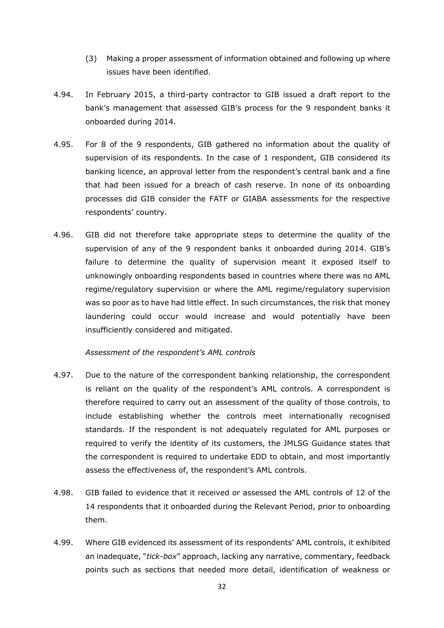- (3) Making a proper assessment of information obtained and following up where issues have been identified.
- 4.94. In February 2015, a third-party contractor to GIB issued a draft report to the bank's management that assessed GIB's process for the 9 respondent banks it onboarded during 2014.
- 4.95. For 8 of the 9 respondents, GIB gathered no information about the quality of supervision of its respondents. In the case of 1 respondent, GIB considered its banking licence, an approval letter from the respondent's central bank and a fine that had been issued for a breach of cash reserve. In none of its onboarding processes did GIB consider the FATF or GIABA assessments for the respective respondents' country.
- 4.96. GIB did not therefore take appropriate steps to determine the quality of the supervision of any of the 9 respondent banks it onboarded during 2014. GIB's failure to determine the quality of supervision meant it exposed itself to unknowingly onboarding respondents based in countries where there was no AML regime/regulatory supervision or where the AML regime/regulatory supervision was so poor as to have had little effect. In such circumstances, the risk that money laundering could occur would increase and would potentially have been insufficiently considered and mitigated.

### *Assessment of the respondent's AML controls*

- 4.97. Due to the nature of the correspondent banking relationship, the correspondent is reliant on the quality of the respondent's AML controls. A correspondent is therefore required to carry out an assessment of the quality of those controls, to include establishing whether the controls meet internationally recognised standards. If the respondent is not adequately regulated for AML purposes or required to verify the identity of its customers, the JMLSG Guidance states that the correspondent is required to undertake EDD to obtain, and most importantly assess the effectiveness of, the respondent's AML controls.
- 4.98. GIB failed to evidence that it received or assessed the AML controls of 12 of the 14 respondents that it onboarded during the Relevant Period, prior to onboarding them.
- 4.99. Where GIB evidenced its assessment of its respondents' AML controls, it exhibited an inadequate, "*tick-box*" approach, lacking any narrative, commentary, feedback points such as sections that needed more detail, identification of weakness or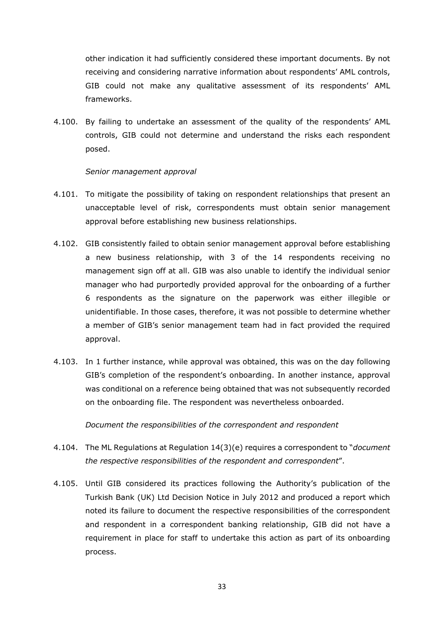other indication it had sufficiently considered these important documents. By not receiving and considering narrative information about respondents' AML controls, GIB could not make any qualitative assessment of its respondents' AML frameworks.

4.100. By failing to undertake an assessment of the quality of the respondents' AML controls, GIB could not determine and understand the risks each respondent posed.

## *Senior management approval*

- 4.101. To mitigate the possibility of taking on respondent relationships that present an unacceptable level of risk, correspondents must obtain senior management approval before establishing new business relationships.
- 4.102. GIB consistently failed to obtain senior management approval before establishing a new business relationship, with 3 of the 14 respondents receiving no management sign off at all. GIB was also unable to identify the individual senior manager who had purportedly provided approval for the onboarding of a further 6 respondents as the signature on the paperwork was either illegible or unidentifiable. In those cases, therefore, it was not possible to determine whether a member of GIB's senior management team had in fact provided the required approval.
- 4.103. In 1 further instance, while approval was obtained, this was on the day following GIB's completion of the respondent's onboarding. In another instance, approval was conditional on a reference being obtained that was not subsequently recorded on the onboarding file. The respondent was nevertheless onboarded.

*Document the responsibilities of the correspondent and respondent*

- 4.104. The ML Regulations at Regulation 14(3)(e) requires a correspondent to "*document the respective responsibilities of the respondent and correspondent*".
- 4.105. Until GIB considered its practices following the Authority's publication of the Turkish Bank (UK) Ltd Decision Notice in July 2012 and produced a report which noted its failure to document the respective responsibilities of the correspondent and respondent in a correspondent banking relationship, GIB did not have a requirement in place for staff to undertake this action as part of its onboarding process.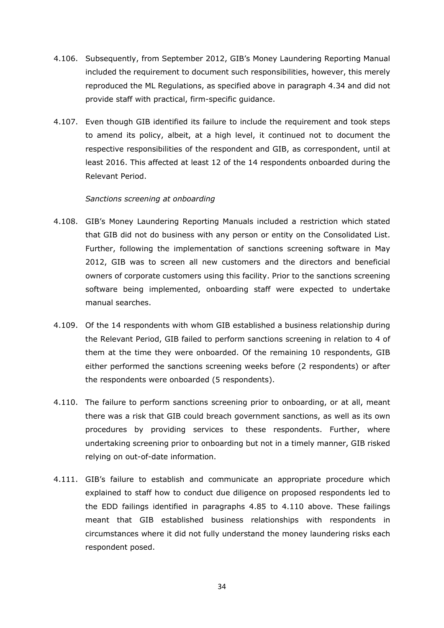- 4.106. Subsequently, from September 2012, GIB's Money Laundering Reporting Manual included the requirement to document such responsibilities, however, this merely reproduced the ML Regulations, as specified above in paragraph 4.34 and did not provide staff with practical, firm-specific guidance.
- 4.107. Even though GIB identified its failure to include the requirement and took steps to amend its policy, albeit, at a high level, it continued not to document the respective responsibilities of the respondent and GIB, as correspondent, until at least 2016. This affected at least 12 of the 14 respondents onboarded during the Relevant Period.

### *Sanctions screening at onboarding*

- 4.108. GIB's Money Laundering Reporting Manuals included a restriction which stated that GIB did not do business with any person or entity on the Consolidated List. Further, following the implementation of sanctions screening software in May 2012, GIB was to screen all new customers and the directors and beneficial owners of corporate customers using this facility. Prior to the sanctions screening software being implemented, onboarding staff were expected to undertake manual searches.
- 4.109. Of the 14 respondents with whom GIB established a business relationship during the Relevant Period, GIB failed to perform sanctions screening in relation to 4 of them at the time they were onboarded. Of the remaining 10 respondents, GIB either performed the sanctions screening weeks before (2 respondents) or after the respondents were onboarded (5 respondents).
- 4.110. The failure to perform sanctions screening prior to onboarding, or at all, meant there was a risk that GIB could breach government sanctions, as well as its own procedures by providing services to these respondents. Further, where undertaking screening prior to onboarding but not in a timely manner, GIB risked relying on out-of-date information.
- 4.111. GIB's failure to establish and communicate an appropriate procedure which explained to staff how to conduct due diligence on proposed respondents led to the EDD failings identified in paragraphs 4.85 to 4.110 above. These failings meant that GIB established business relationships with respondents in circumstances where it did not fully understand the money laundering risks each respondent posed.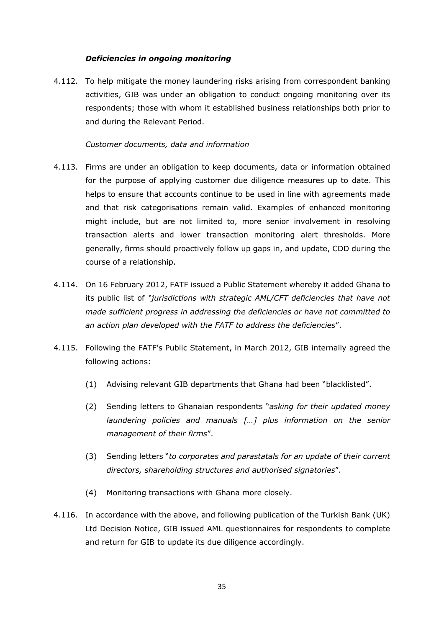## *Deficiencies in ongoing monitoring*

4.112. To help mitigate the money laundering risks arising from correspondent banking activities, GIB was under an obligation to conduct ongoing monitoring over its respondents; those with whom it established business relationships both prior to and during the Relevant Period.

## *Customer documents, data and information*

- 4.113. Firms are under an obligation to keep documents, data or information obtained for the purpose of applying customer due diligence measures up to date. This helps to ensure that accounts continue to be used in line with agreements made and that risk categorisations remain valid. Examples of enhanced monitoring might include, but are not limited to, more senior involvement in resolving transaction alerts and lower transaction monitoring alert thresholds. More generally, firms should proactively follow up gaps in, and update, CDD during the course of a relationship.
- 4.114. On 16 February 2012, FATF issued a Public Statement whereby it added Ghana to its public list of *"jurisdictions with strategic AML/CFT deficiencies that have not made sufficient progress in addressing the deficiencies or have not committed to an action plan developed with the FATF to address the deficiencies*".
- 4.115. Following the FATF's Public Statement, in March 2012, GIB internally agreed the following actions:
	- (1) Advising relevant GIB departments that Ghana had been "blacklisted".
	- (2) Sending letters to Ghanaian respondents "*asking for their updated money laundering policies and manuals […] plus information on the senior management of their firms*".
	- (3) Sending letters "*to corporates and parastatals for an update of their current directors, shareholding structures and authorised signatories*".
	- (4) Monitoring transactions with Ghana more closely.
- 4.116. In accordance with the above, and following publication of the Turkish Bank (UK) Ltd Decision Notice, GIB issued AML questionnaires for respondents to complete and return for GIB to update its due diligence accordingly.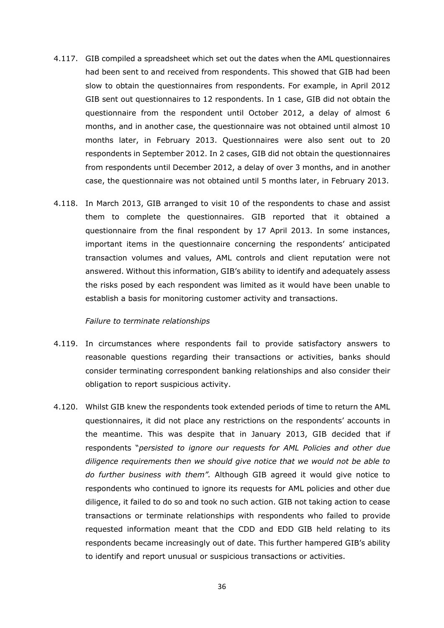- 4.117. GIB compiled a spreadsheet which set out the dates when the AML questionnaires had been sent to and received from respondents. This showed that GIB had been slow to obtain the questionnaires from respondents. For example, in April 2012 GIB sent out questionnaires to 12 respondents. In 1 case, GIB did not obtain the questionnaire from the respondent until October 2012, a delay of almost 6 months, and in another case, the questionnaire was not obtained until almost 10 months later, in February 2013. Questionnaires were also sent out to 20 respondents in September 2012. In 2 cases, GIB did not obtain the questionnaires from respondents until December 2012, a delay of over 3 months, and in another case, the questionnaire was not obtained until 5 months later, in February 2013.
- 4.118. In March 2013, GIB arranged to visit 10 of the respondents to chase and assist them to complete the questionnaires. GIB reported that it obtained a questionnaire from the final respondent by 17 April 2013. In some instances, important items in the questionnaire concerning the respondents' anticipated transaction volumes and values, AML controls and client reputation were not answered. Without this information, GIB's ability to identify and adequately assess the risks posed by each respondent was limited as it would have been unable to establish a basis for monitoring customer activity and transactions.

#### *Failure to terminate relationships*

- 4.119. In circumstances where respondents fail to provide satisfactory answers to reasonable questions regarding their transactions or activities, banks should consider terminating correspondent banking relationships and also consider their obligation to report suspicious activity.
- 4.120. Whilst GIB knew the respondents took extended periods of time to return the AML questionnaires, it did not place any restrictions on the respondents' accounts in the meantime. This was despite that in January 2013, GIB decided that if respondents "*persisted to ignore our requests for AML Policies and other due diligence requirements then we should give notice that we would not be able to do further business with them".* Although GIB agreed it would give notice to respondents who continued to ignore its requests for AML policies and other due diligence, it failed to do so and took no such action. GIB not taking action to cease transactions or terminate relationships with respondents who failed to provide requested information meant that the CDD and EDD GIB held relating to its respondents became increasingly out of date. This further hampered GIB's ability to identify and report unusual or suspicious transactions or activities.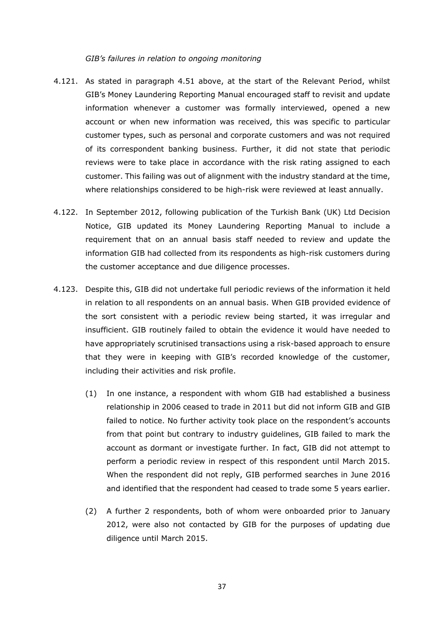#### *GIB's failures in relation to ongoing monitoring*

- 4.121. As stated in paragraph 4.51 above, at the start of the Relevant Period, whilst GIB's Money Laundering Reporting Manual encouraged staff to revisit and update information whenever a customer was formally interviewed, opened a new account or when new information was received, this was specific to particular customer types, such as personal and corporate customers and was not required of its correspondent banking business. Further, it did not state that periodic reviews were to take place in accordance with the risk rating assigned to each customer. This failing was out of alignment with the industry standard at the time, where relationships considered to be high-risk were reviewed at least annually.
- 4.122. In September 2012, following publication of the Turkish Bank (UK) Ltd Decision Notice, GIB updated its Money Laundering Reporting Manual to include a requirement that on an annual basis staff needed to review and update the information GIB had collected from its respondents as high-risk customers during the customer acceptance and due diligence processes.
- 4.123. Despite this, GIB did not undertake full periodic reviews of the information it held in relation to all respondents on an annual basis. When GIB provided evidence of the sort consistent with a periodic review being started, it was irregular and insufficient. GIB routinely failed to obtain the evidence it would have needed to have appropriately scrutinised transactions using a risk-based approach to ensure that they were in keeping with GIB's recorded knowledge of the customer, including their activities and risk profile.
	- (1) In one instance, a respondent with whom GIB had established a business relationship in 2006 ceased to trade in 2011 but did not inform GIB and GIB failed to notice. No further activity took place on the respondent's accounts from that point but contrary to industry guidelines, GIB failed to mark the account as dormant or investigate further. In fact, GIB did not attempt to perform a periodic review in respect of this respondent until March 2015. When the respondent did not reply, GIB performed searches in June 2016 and identified that the respondent had ceased to trade some 5 years earlier.
	- (2) A further 2 respondents, both of whom were onboarded prior to January 2012, were also not contacted by GIB for the purposes of updating due diligence until March 2015.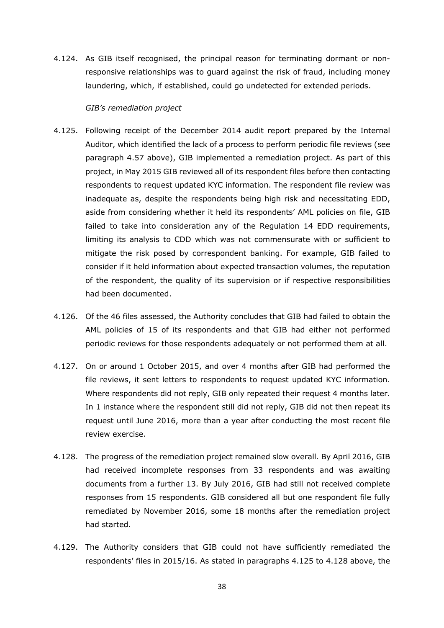4.124. As GIB itself recognised, the principal reason for terminating dormant or nonresponsive relationships was to guard against the risk of fraud, including money laundering, which, if established, could go undetected for extended periods.

### *GIB's remediation project*

- 4.125. Following receipt of the December 2014 audit report prepared by the Internal Auditor, which identified the lack of a process to perform periodic file reviews (see paragraph 4.57 above), GIB implemented a remediation project. As part of this project, in May 2015 GIB reviewed all of its respondent files before then contacting respondents to request updated KYC information. The respondent file review was inadequate as, despite the respondents being high risk and necessitating EDD, aside from considering whether it held its respondents' AML policies on file, GIB failed to take into consideration any of the Regulation 14 EDD requirements, limiting its analysis to CDD which was not commensurate with or sufficient to mitigate the risk posed by correspondent banking. For example, GIB failed to consider if it held information about expected transaction volumes, the reputation of the respondent, the quality of its supervision or if respective responsibilities had been documented.
- 4.126. Of the 46 files assessed, the Authority concludes that GIB had failed to obtain the AML policies of 15 of its respondents and that GIB had either not performed periodic reviews for those respondents adequately or not performed them at all.
- 4.127. On or around 1 October 2015, and over 4 months after GIB had performed the file reviews, it sent letters to respondents to request updated KYC information. Where respondents did not reply, GIB only repeated their request 4 months later. In 1 instance where the respondent still did not reply, GIB did not then repeat its request until June 2016, more than a year after conducting the most recent file review exercise.
- 4.128. The progress of the remediation project remained slow overall. By April 2016, GIB had received incomplete responses from 33 respondents and was awaiting documents from a further 13. By July 2016, GIB had still not received complete responses from 15 respondents. GIB considered all but one respondent file fully remediated by November 2016, some 18 months after the remediation project had started.
- 4.129. The Authority considers that GIB could not have sufficiently remediated the respondents' files in 2015/16. As stated in paragraphs 4.125 to 4.128 above, the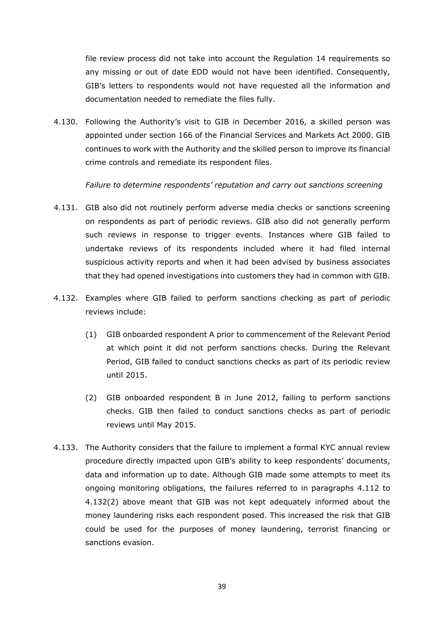file review process did not take into account the Regulation 14 requirements so any missing or out of date EDD would not have been identified. Consequently, GIB's letters to respondents would not have requested all the information and documentation needed to remediate the files fully.

4.130. Following the Authority's visit to GIB in December 2016, a skilled person was appointed under section 166 of the Financial Services and Markets Act 2000. GIB continues to work with the Authority and the skilled person to improve its financial crime controls and remediate its respondent files.

*Failure to determine respondents' reputation and carry out sanctions screening*

- 4.131. GIB also did not routinely perform adverse media checks or sanctions screening on respondents as part of periodic reviews. GIB also did not generally perform such reviews in response to trigger events. Instances where GIB failed to undertake reviews of its respondents included where it had filed internal suspicious activity reports and when it had been advised by business associates that they had opened investigations into customers they had in common with GIB.
- 4.132. Examples where GIB failed to perform sanctions checking as part of periodic reviews include:
	- (1) GIB onboarded respondent A prior to commencement of the Relevant Period at which point it did not perform sanctions checks. During the Relevant Period, GIB failed to conduct sanctions checks as part of its periodic review until 2015.
	- (2) GIB onboarded respondent B in June 2012, failing to perform sanctions checks. GIB then failed to conduct sanctions checks as part of periodic reviews until May 2015.
- 4.133. The Authority considers that the failure to implement a formal KYC annual review procedure directly impacted upon GIB's ability to keep respondents' documents, data and information up to date. Although GIB made some attempts to meet its ongoing monitoring obligations, the failures referred to in paragraphs 4.112 to 4.132(2) above meant that GIB was not kept adequately informed about the money laundering risks each respondent posed. This increased the risk that GIB could be used for the purposes of money laundering, terrorist financing or sanctions evasion.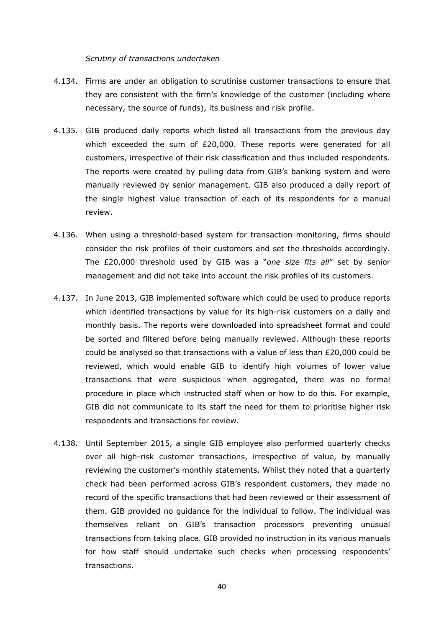#### *Scrutiny of transactions undertaken*

- 4.134. Firms are under an obligation to scrutinise customer transactions to ensure that they are consistent with the firm's knowledge of the customer (including where necessary, the source of funds), its business and risk profile.
- 4.135. GIB produced daily reports which listed all transactions from the previous day which exceeded the sum of £20,000. These reports were generated for all customers, irrespective of their risk classification and thus included respondents. The reports were created by pulling data from GIB's banking system and were manually reviewed by senior management. GIB also produced a daily report of the single highest value transaction of each of its respondents for a manual review.
- 4.136. When using a threshold-based system for transaction monitoring, firms should consider the risk profiles of their customers and set the thresholds accordingly. The £20,000 threshold used by GIB was a "*one size fits all*" set by senior management and did not take into account the risk profiles of its customers.
- 4.137. In June 2013, GIB implemented software which could be used to produce reports which identified transactions by value for its high-risk customers on a daily and monthly basis. The reports were downloaded into spreadsheet format and could be sorted and filtered before being manually reviewed. Although these reports could be analysed so that transactions with a value of less than £20,000 could be reviewed, which would enable GIB to identify high volumes of lower value transactions that were suspicious when aggregated, there was no formal procedure in place which instructed staff when or how to do this. For example, GIB did not communicate to its staff the need for them to prioritise higher risk respondents and transactions for review.
- 4.138. Until September 2015, a single GIB employee also performed quarterly checks over all high-risk customer transactions, irrespective of value, by manually reviewing the customer's monthly statements. Whilst they noted that a quarterly check had been performed across GIB's respondent customers, they made no record of the specific transactions that had been reviewed or their assessment of them. GIB provided no guidance for the individual to follow. The individual was themselves reliant on GIB's transaction processors preventing unusual transactions from taking place. GIB provided no instruction in its various manuals for how staff should undertake such checks when processing respondents' transactions.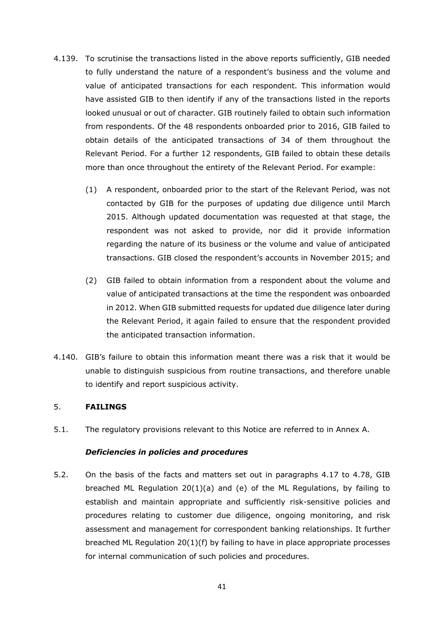- 4.139. To scrutinise the transactions listed in the above reports sufficiently, GIB needed to fully understand the nature of a respondent's business and the volume and value of anticipated transactions for each respondent. This information would have assisted GIB to then identify if any of the transactions listed in the reports looked unusual or out of character. GIB routinely failed to obtain such information from respondents. Of the 48 respondents onboarded prior to 2016, GIB failed to obtain details of the anticipated transactions of 34 of them throughout the Relevant Period. For a further 12 respondents, GIB failed to obtain these details more than once throughout the entirety of the Relevant Period. For example:
	- (1) A respondent, onboarded prior to the start of the Relevant Period, was not contacted by GIB for the purposes of updating due diligence until March 2015. Although updated documentation was requested at that stage, the respondent was not asked to provide, nor did it provide information regarding the nature of its business or the volume and value of anticipated transactions. GIB closed the respondent's accounts in November 2015; and
	- (2) GIB failed to obtain information from a respondent about the volume and value of anticipated transactions at the time the respondent was onboarded in 2012. When GIB submitted requests for updated due diligence later during the Relevant Period, it again failed to ensure that the respondent provided the anticipated transaction information.
- 4.140. GIB's failure to obtain this information meant there was a risk that it would be unable to distinguish suspicious from routine transactions, and therefore unable to identify and report suspicious activity.

## 5. **FAILINGS**

5.1. The regulatory provisions relevant to this Notice are referred to in Annex A.

### *Deficiencies in policies and procedures*

5.2. On the basis of the facts and matters set out in paragraphs 4.17 to 4.78, GIB breached ML Regulation 20(1)(a) and (e) of the ML Regulations, by failing to establish and maintain appropriate and sufficiently risk-sensitive policies and procedures relating to customer due diligence, ongoing monitoring, and risk assessment and management for correspondent banking relationships. It further breached ML Regulation 20(1)(f) by failing to have in place appropriate processes for internal communication of such policies and procedures.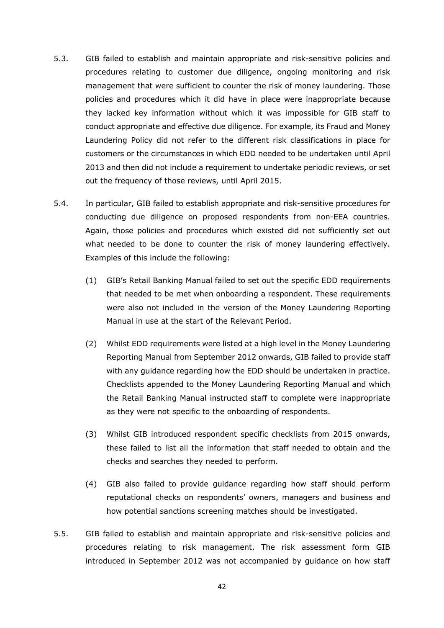- 5.3. GIB failed to establish and maintain appropriate and risk-sensitive policies and procedures relating to customer due diligence, ongoing monitoring and risk management that were sufficient to counter the risk of money laundering. Those policies and procedures which it did have in place were inappropriate because they lacked key information without which it was impossible for GIB staff to conduct appropriate and effective due diligence. For example, its Fraud and Money Laundering Policy did not refer to the different risk classifications in place for customers or the circumstances in which EDD needed to be undertaken until April 2013 and then did not include a requirement to undertake periodic reviews, or set out the frequency of those reviews, until April 2015.
- 5.4. In particular, GIB failed to establish appropriate and risk-sensitive procedures for conducting due diligence on proposed respondents from non-EEA countries. Again, those policies and procedures which existed did not sufficiently set out what needed to be done to counter the risk of money laundering effectively. Examples of this include the following:
	- (1) GIB's Retail Banking Manual failed to set out the specific EDD requirements that needed to be met when onboarding a respondent. These requirements were also not included in the version of the Money Laundering Reporting Manual in use at the start of the Relevant Period.
	- (2) Whilst EDD requirements were listed at a high level in the Money Laundering Reporting Manual from September 2012 onwards, GIB failed to provide staff with any guidance regarding how the EDD should be undertaken in practice. Checklists appended to the Money Laundering Reporting Manual and which the Retail Banking Manual instructed staff to complete were inappropriate as they were not specific to the onboarding of respondents.
	- (3) Whilst GIB introduced respondent specific checklists from 2015 onwards, these failed to list all the information that staff needed to obtain and the checks and searches they needed to perform.
	- (4) GIB also failed to provide guidance regarding how staff should perform reputational checks on respondents' owners, managers and business and how potential sanctions screening matches should be investigated.
- 5.5. GIB failed to establish and maintain appropriate and risk-sensitive policies and procedures relating to risk management. The risk assessment form GIB introduced in September 2012 was not accompanied by guidance on how staff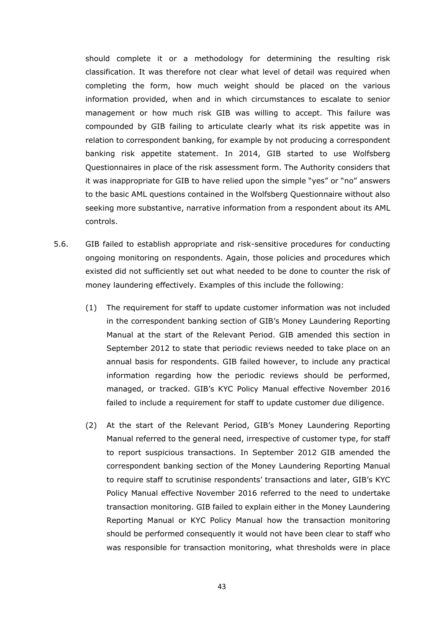should complete it or a methodology for determining the resulting risk classification. It was therefore not clear what level of detail was required when completing the form, how much weight should be placed on the various information provided, when and in which circumstances to escalate to senior management or how much risk GIB was willing to accept. This failure was compounded by GIB failing to articulate clearly what its risk appetite was in relation to correspondent banking, for example by not producing a correspondent banking risk appetite statement. In 2014, GIB started to use Wolfsberg Questionnaires in place of the risk assessment form. The Authority considers that it was inappropriate for GIB to have relied upon the simple "yes" or "no" answers to the basic AML questions contained in the Wolfsberg Questionnaire without also seeking more substantive, narrative information from a respondent about its AML controls.

- 5.6. GIB failed to establish appropriate and risk-sensitive procedures for conducting ongoing monitoring on respondents. Again, those policies and procedures which existed did not sufficiently set out what needed to be done to counter the risk of money laundering effectively. Examples of this include the following:
	- (1) The requirement for staff to update customer information was not included in the correspondent banking section of GIB's Money Laundering Reporting Manual at the start of the Relevant Period. GIB amended this section in September 2012 to state that periodic reviews needed to take place on an annual basis for respondents. GIB failed however, to include any practical information regarding how the periodic reviews should be performed, managed, or tracked. GIB's KYC Policy Manual effective November 2016 failed to include a requirement for staff to update customer due diligence.
	- (2) At the start of the Relevant Period, GIB's Money Laundering Reporting Manual referred to the general need, irrespective of customer type, for staff to report suspicious transactions. In September 2012 GIB amended the correspondent banking section of the Money Laundering Reporting Manual to require staff to scrutinise respondents' transactions and later, GIB's KYC Policy Manual effective November 2016 referred to the need to undertake transaction monitoring. GIB failed to explain either in the Money Laundering Reporting Manual or KYC Policy Manual how the transaction monitoring should be performed consequently it would not have been clear to staff who was responsible for transaction monitoring, what thresholds were in place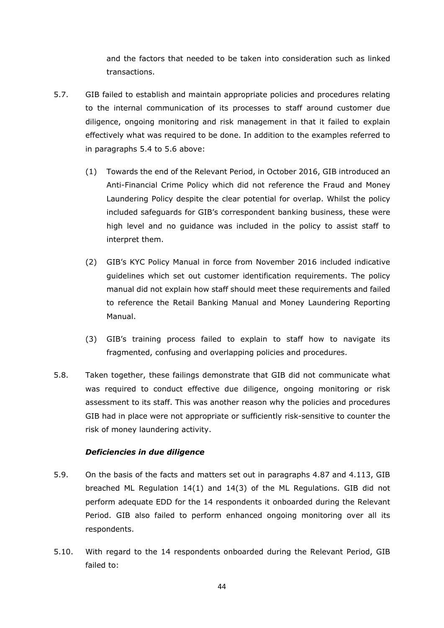and the factors that needed to be taken into consideration such as linked transactions.

- 5.7. GIB failed to establish and maintain appropriate policies and procedures relating to the internal communication of its processes to staff around customer due diligence, ongoing monitoring and risk management in that it failed to explain effectively what was required to be done. In addition to the examples referred to in paragraphs 5.4 to 5.6 above:
	- (1) Towards the end of the Relevant Period, in October 2016, GIB introduced an Anti-Financial Crime Policy which did not reference the Fraud and Money Laundering Policy despite the clear potential for overlap. Whilst the policy included safeguards for GIB's correspondent banking business, these were high level and no guidance was included in the policy to assist staff to interpret them.
	- (2) GIB's KYC Policy Manual in force from November 2016 included indicative guidelines which set out customer identification requirements. The policy manual did not explain how staff should meet these requirements and failed to reference the Retail Banking Manual and Money Laundering Reporting Manual.
	- (3) GIB's training process failed to explain to staff how to navigate its fragmented, confusing and overlapping policies and procedures.
- 5.8. Taken together, these failings demonstrate that GIB did not communicate what was required to conduct effective due diligence, ongoing monitoring or risk assessment to its staff. This was another reason why the policies and procedures GIB had in place were not appropriate or sufficiently risk-sensitive to counter the risk of money laundering activity.

## *Deficiencies in due diligence*

- 5.9. On the basis of the facts and matters set out in paragraphs 4.87 and 4.113, GIB breached ML Regulation 14(1) and 14(3) of the ML Regulations. GIB did not perform adequate EDD for the 14 respondents it onboarded during the Relevant Period. GIB also failed to perform enhanced ongoing monitoring over all its respondents.
- 5.10. With regard to the 14 respondents onboarded during the Relevant Period, GIB failed to: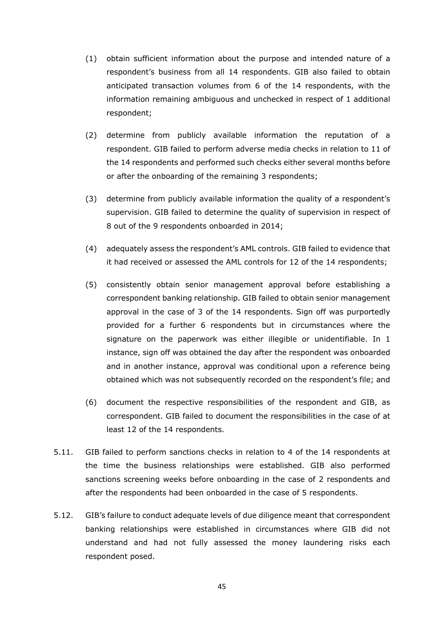- (1) obtain sufficient information about the purpose and intended nature of a respondent's business from all 14 respondents. GIB also failed to obtain anticipated transaction volumes from 6 of the 14 respondents, with the information remaining ambiguous and unchecked in respect of 1 additional respondent;
- (2) determine from publicly available information the reputation of a respondent. GIB failed to perform adverse media checks in relation to 11 of the 14 respondents and performed such checks either several months before or after the onboarding of the remaining 3 respondents;
- (3) determine from publicly available information the quality of a respondent's supervision. GIB failed to determine the quality of supervision in respect of 8 out of the 9 respondents onboarded in 2014;
- (4) adequately assess the respondent's AML controls. GIB failed to evidence that it had received or assessed the AML controls for 12 of the 14 respondents;
- (5) consistently obtain senior management approval before establishing a correspondent banking relationship. GIB failed to obtain senior management approval in the case of 3 of the 14 respondents. Sign off was purportedly provided for a further 6 respondents but in circumstances where the signature on the paperwork was either illegible or unidentifiable. In 1 instance, sign off was obtained the day after the respondent was onboarded and in another instance, approval was conditional upon a reference being obtained which was not subsequently recorded on the respondent's file; and
- (6) document the respective responsibilities of the respondent and GIB, as correspondent. GIB failed to document the responsibilities in the case of at least 12 of the 14 respondents.
- 5.11. GIB failed to perform sanctions checks in relation to 4 of the 14 respondents at the time the business relationships were established. GIB also performed sanctions screening weeks before onboarding in the case of 2 respondents and after the respondents had been onboarded in the case of 5 respondents.
- 5.12. GIB's failure to conduct adequate levels of due diligence meant that correspondent banking relationships were established in circumstances where GIB did not understand and had not fully assessed the money laundering risks each respondent posed.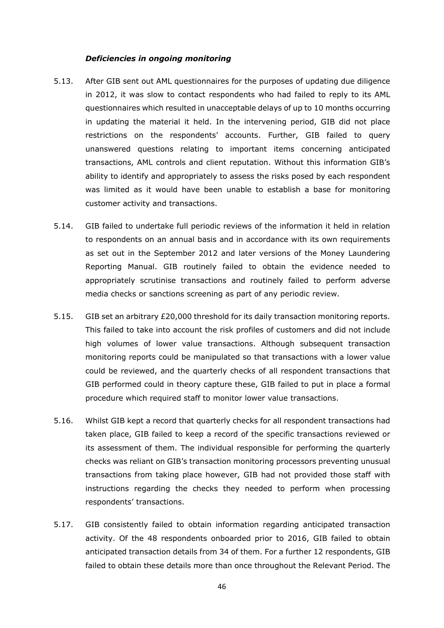#### *Deficiencies in ongoing monitoring*

- 5.13. After GIB sent out AML questionnaires for the purposes of updating due diligence in 2012, it was slow to contact respondents who had failed to reply to its AML questionnaires which resulted in unacceptable delays of up to 10 months occurring in updating the material it held. In the intervening period, GIB did not place restrictions on the respondents' accounts. Further, GIB failed to query unanswered questions relating to important items concerning anticipated transactions, AML controls and client reputation. Without this information GIB's ability to identify and appropriately to assess the risks posed by each respondent was limited as it would have been unable to establish a base for monitoring customer activity and transactions.
- 5.14. GIB failed to undertake full periodic reviews of the information it held in relation to respondents on an annual basis and in accordance with its own requirements as set out in the September 2012 and later versions of the Money Laundering Reporting Manual. GIB routinely failed to obtain the evidence needed to appropriately scrutinise transactions and routinely failed to perform adverse media checks or sanctions screening as part of any periodic review.
- 5.15. GIB set an arbitrary £20,000 threshold for its daily transaction monitoring reports. This failed to take into account the risk profiles of customers and did not include high volumes of lower value transactions. Although subsequent transaction monitoring reports could be manipulated so that transactions with a lower value could be reviewed, and the quarterly checks of all respondent transactions that GIB performed could in theory capture these, GIB failed to put in place a formal procedure which required staff to monitor lower value transactions.
- 5.16. Whilst GIB kept a record that quarterly checks for all respondent transactions had taken place, GIB failed to keep a record of the specific transactions reviewed or its assessment of them. The individual responsible for performing the quarterly checks was reliant on GIB's transaction monitoring processors preventing unusual transactions from taking place however, GIB had not provided those staff with instructions regarding the checks they needed to perform when processing respondents' transactions.
- 5.17. GIB consistently failed to obtain information regarding anticipated transaction activity. Of the 48 respondents onboarded prior to 2016, GIB failed to obtain anticipated transaction details from 34 of them. For a further 12 respondents, GIB failed to obtain these details more than once throughout the Relevant Period. The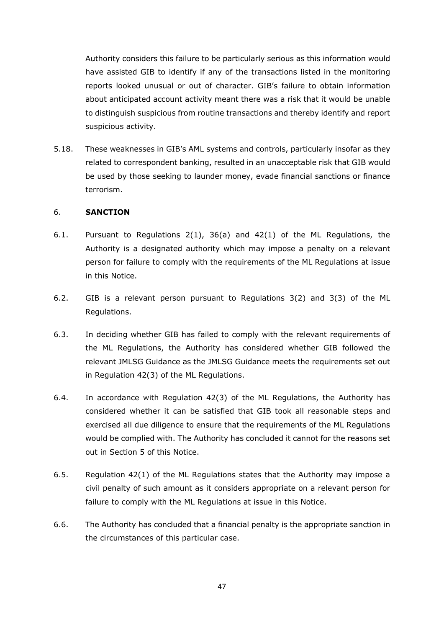Authority considers this failure to be particularly serious as this information would have assisted GIB to identify if any of the transactions listed in the monitoring reports looked unusual or out of character. GIB's failure to obtain information about anticipated account activity meant there was a risk that it would be unable to distinguish suspicious from routine transactions and thereby identify and report suspicious activity.

5.18. These weaknesses in GIB's AML systems and controls, particularly insofar as they related to correspondent banking, resulted in an unacceptable risk that GIB would be used by those seeking to launder money, evade financial sanctions or finance terrorism.

## 6. **SANCTION**

- 6.1. Pursuant to Regulations 2(1), 36(a) and 42(1) of the ML Regulations, the Authority is a designated authority which may impose a penalty on a relevant person for failure to comply with the requirements of the ML Regulations at issue in this Notice.
- 6.2. GIB is a relevant person pursuant to Regulations 3(2) and 3(3) of the ML Regulations.
- 6.3. In deciding whether GIB has failed to comply with the relevant requirements of the ML Regulations, the Authority has considered whether GIB followed the relevant JMLSG Guidance as the JMLSG Guidance meets the requirements set out in Regulation 42(3) of the ML Regulations.
- 6.4. In accordance with Regulation 42(3) of the ML Regulations, the Authority has considered whether it can be satisfied that GIB took all reasonable steps and exercised all due diligence to ensure that the requirements of the ML Regulations would be complied with. The Authority has concluded it cannot for the reasons set out in Section 5 of this Notice.
- 6.5. Regulation 42(1) of the ML Regulations states that the Authority may impose a civil penalty of such amount as it considers appropriate on a relevant person for failure to comply with the ML Regulations at issue in this Notice.
- 6.6. The Authority has concluded that a financial penalty is the appropriate sanction in the circumstances of this particular case.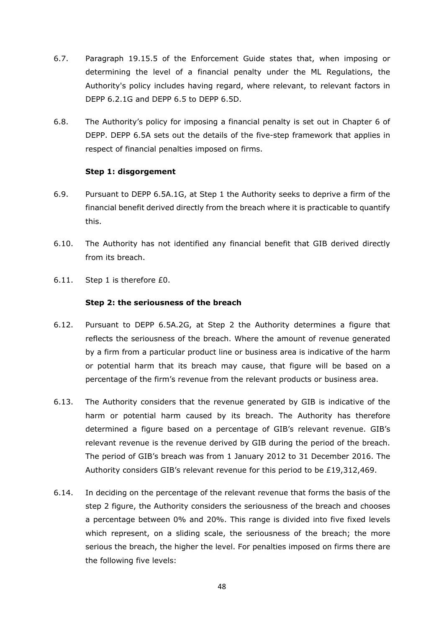- 6.7. Paragraph 19.15.5 of the Enforcement Guide states that, when imposing or determining the level of a financial penalty under the ML Regulations, the Authority's policy includes having regard, where relevant, to relevant factors in DEPP 6.2.1G and DEPP 6.5 to DEPP 6.5D.
- 6.8. The Authority's policy for imposing a financial penalty is set out in Chapter 6 of DEPP. DEPP 6.5A sets out the details of the five-step framework that applies in respect of financial penalties imposed on firms.

## **Step 1: disgorgement**

- 6.9. Pursuant to DEPP 6.5A.1G, at Step 1 the Authority seeks to deprive a firm of the financial benefit derived directly from the breach where it is practicable to quantify this.
- 6.10. The Authority has not identified any financial benefit that GIB derived directly from its breach.
- 6.11. Step 1 is therefore £0.

## **Step 2: the seriousness of the breach**

- 6.12. Pursuant to DEPP 6.5A.2G, at Step 2 the Authority determines a figure that reflects the seriousness of the breach. Where the amount of revenue generated by a firm from a particular product line or business area is indicative of the harm or potential harm that its breach may cause, that figure will be based on a percentage of the firm's revenue from the relevant products or business area.
- 6.13. The Authority considers that the revenue generated by GIB is indicative of the harm or potential harm caused by its breach. The Authority has therefore determined a figure based on a percentage of GIB's relevant revenue. GIB's relevant revenue is the revenue derived by GIB during the period of the breach. The period of GIB's breach was from 1 January 2012 to 31 December 2016. The Authority considers GIB's relevant revenue for this period to be £19,312,469.
- 6.14. In deciding on the percentage of the relevant revenue that forms the basis of the step 2 figure, the Authority considers the seriousness of the breach and chooses a percentage between 0% and 20%. This range is divided into five fixed levels which represent, on a sliding scale, the seriousness of the breach; the more serious the breach, the higher the level. For penalties imposed on firms there are the following five levels: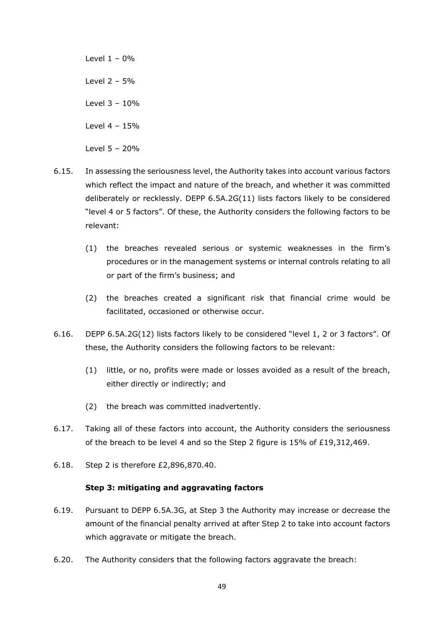Level  $1 - 0\%$ Level 2 – 5% Level 3 – 10% Level 4 – 15% Level 5 – 20%

- 6.15. In assessing the seriousness level, the Authority takes into account various factors which reflect the impact and nature of the breach, and whether it was committed deliberately or recklessly. DEPP 6.5A.2G(11) lists factors likely to be considered "level 4 or 5 factors". Of these, the Authority considers the following factors to be relevant:
	- (1) the breaches revealed serious or systemic weaknesses in the firm's procedures or in the management systems or internal controls relating to all or part of the firm's business; and
	- (2) the breaches created a significant risk that financial crime would be facilitated, occasioned or otherwise occur.
- 6.16. DEPP 6.5A.2G(12) lists factors likely to be considered "level 1, 2 or 3 factors". Of these, the Authority considers the following factors to be relevant:
	- (1) little, or no, profits were made or losses avoided as a result of the breach, either directly or indirectly; and
	- (2) the breach was committed inadvertently.
- 6.17. Taking all of these factors into account, the Authority considers the seriousness of the breach to be level 4 and so the Step 2 figure is 15% of £19,312,469.
- 6.18. Step 2 is therefore £2,896,870.40.

### **Step 3: mitigating and aggravating factors**

- 6.19. Pursuant to DEPP 6.5A.3G, at Step 3 the Authority may increase or decrease the amount of the financial penalty arrived at after Step 2 to take into account factors which aggravate or mitigate the breach.
- 6.20. The Authority considers that the following factors aggravate the breach: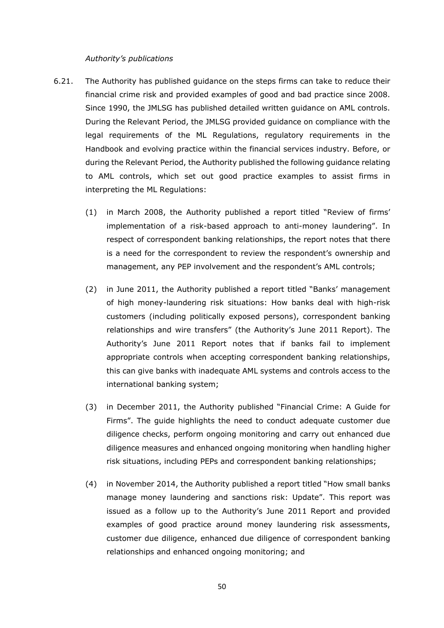### *Authority's publications*

- 6.21. The Authority has published guidance on the steps firms can take to reduce their financial crime risk and provided examples of good and bad practice since 2008. Since 1990, the JMLSG has published detailed written guidance on AML controls. During the Relevant Period, the JMLSG provided guidance on compliance with the legal requirements of the ML Regulations, regulatory requirements in the Handbook and evolving practice within the financial services industry. Before, or during the Relevant Period, the Authority published the following guidance relating to AML controls, which set out good practice examples to assist firms in interpreting the ML Regulations:
	- (1) in March 2008, the Authority published a report titled "Review of firms' implementation of a risk-based approach to anti-money laundering". In respect of correspondent banking relationships, the report notes that there is a need for the correspondent to review the respondent's ownership and management, any PEP involvement and the respondent's AML controls;
	- (2) in June 2011, the Authority published a report titled "Banks' management of high money-laundering risk situations: How banks deal with high-risk customers (including politically exposed persons), correspondent banking relationships and wire transfers" (the Authority's June 2011 Report). The Authority's June 2011 Report notes that if banks fail to implement appropriate controls when accepting correspondent banking relationships, this can give banks with inadequate AML systems and controls access to the international banking system;
	- (3) in December 2011, the Authority published "Financial Crime: A Guide for Firms". The guide highlights the need to conduct adequate customer due diligence checks, perform ongoing monitoring and carry out enhanced due diligence measures and enhanced ongoing monitoring when handling higher risk situations, including PEPs and correspondent banking relationships;
	- (4) in November 2014, the Authority published a report titled "How small banks manage money laundering and sanctions risk: Update". This report was issued as a follow up to the Authority's June 2011 Report and provided examples of good practice around money laundering risk assessments, customer due diligence, enhanced due diligence of correspondent banking relationships and enhanced ongoing monitoring; and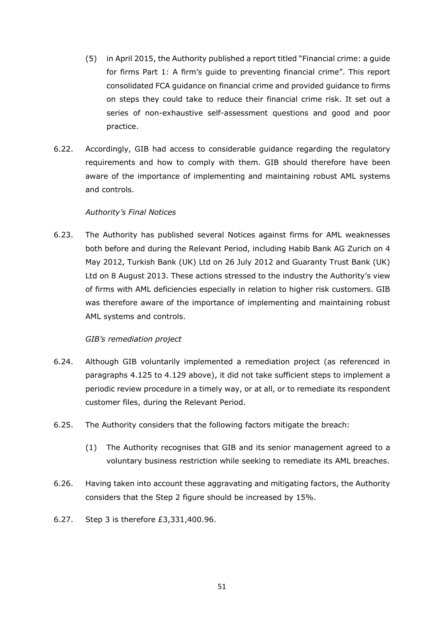- (5) in April 2015, the Authority published a report titled "Financial crime: a guide for firms Part 1: A firm's guide to preventing financial crime". This report consolidated FCA guidance on financial crime and provided guidance to firms on steps they could take to reduce their financial crime risk. It set out a series of non-exhaustive self-assessment questions and good and poor practice.
- 6.22. Accordingly, GIB had access to considerable guidance regarding the regulatory requirements and how to comply with them. GIB should therefore have been aware of the importance of implementing and maintaining robust AML systems and controls.

## *Authority's Final Notices*

6.23. The Authority has published several Notices against firms for AML weaknesses both before and during the Relevant Period, including Habib Bank AG Zurich on 4 May 2012, Turkish Bank (UK) Ltd on 26 July 2012 and Guaranty Trust Bank (UK) Ltd on 8 August 2013. These actions stressed to the industry the Authority's view of firms with AML deficiencies especially in relation to higher risk customers. GIB was therefore aware of the importance of implementing and maintaining robust AML systems and controls.

## *GIB's remediation project*

- 6.24. Although GIB voluntarily implemented a remediation project (as referenced in paragraphs 4.125 to 4.129 above), it did not take sufficient steps to implement a periodic review procedure in a timely way, or at all, or to remediate its respondent customer files, during the Relevant Period.
- 6.25. The Authority considers that the following factors mitigate the breach:
	- (1) The Authority recognises that GIB and its senior management agreed to a voluntary business restriction while seeking to remediate its AML breaches.
- 6.26. Having taken into account these aggravating and mitigating factors, the Authority considers that the Step 2 figure should be increased by 15%.
- 6.27. Step 3 is therefore £3,331,400.96.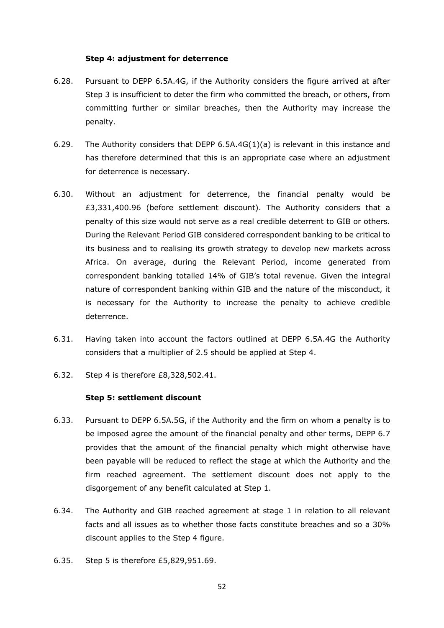### **Step 4: adjustment for deterrence**

- 6.28. Pursuant to DEPP 6.5A.4G, if the Authority considers the figure arrived at after Step 3 is insufficient to deter the firm who committed the breach, or others, from committing further or similar breaches, then the Authority may increase the penalty.
- 6.29. The Authority considers that DEPP 6.5A.4G(1)(a) is relevant in this instance and has therefore determined that this is an appropriate case where an adjustment for deterrence is necessary.
- 6.30. Without an adjustment for deterrence, the financial penalty would be £3,331,400.96 (before settlement discount). The Authority considers that a penalty of this size would not serve as a real credible deterrent to GIB or others. During the Relevant Period GIB considered correspondent banking to be critical to its business and to realising its growth strategy to develop new markets across Africa. On average, during the Relevant Period, income generated from correspondent banking totalled 14% of GIB's total revenue. Given the integral nature of correspondent banking within GIB and the nature of the misconduct, it is necessary for the Authority to increase the penalty to achieve credible deterrence.
- 6.31. Having taken into account the factors outlined at DEPP 6.5A.4G the Authority considers that a multiplier of 2.5 should be applied at Step 4.
- 6.32. Step 4 is therefore £8,328,502.41.

#### **Step 5: settlement discount**

- 6.33. Pursuant to DEPP 6.5A.5G, if the Authority and the firm on whom a penalty is to be imposed agree the amount of the financial penalty and other terms, DEPP 6.7 provides that the amount of the financial penalty which might otherwise have been payable will be reduced to reflect the stage at which the Authority and the firm reached agreement. The settlement discount does not apply to the disgorgement of any benefit calculated at Step 1.
- 6.34. The Authority and GIB reached agreement at stage 1 in relation to all relevant facts and all issues as to whether those facts constitute breaches and so a 30% discount applies to the Step 4 figure.
- 6.35. Step 5 is therefore £5,829,951.69.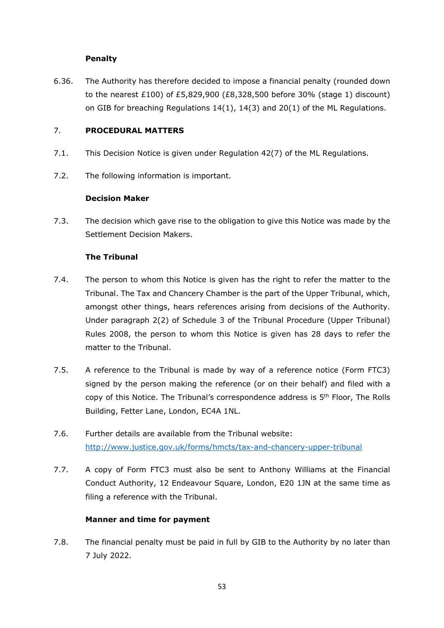## **Penalty**

6.36. The Authority has therefore decided to impose a financial penalty (rounded down to the nearest £100) of £5,829,900 (£8,328,500 before 30% (stage 1) discount) on GIB for breaching Regulations 14(1), 14(3) and 20(1) of the ML Regulations.

## 7. **PROCEDURAL MATTERS**

- 7.1. This Decision Notice is given under Regulation 42(7) of the ML Regulations.
- 7.2. The following information is important.

## **Decision Maker**

7.3. The decision which gave rise to the obligation to give this Notice was made by the Settlement Decision Makers.

## **The Tribunal**

- 7.4. The person to whom this Notice is given has the right to refer the matter to the Tribunal. The Tax and Chancery Chamber is the part of the Upper Tribunal, which, amongst other things, hears references arising from decisions of the Authority. Under paragraph 2(2) of Schedule 3 of the Tribunal Procedure (Upper Tribunal) Rules 2008, the person to whom this Notice is given has 28 days to refer the matter to the Tribunal.
- 7.5. A reference to the Tribunal is made by way of a reference notice (Form FTC3) signed by the person making the reference (or on their behalf) and filed with a copy of this Notice. The Tribunal's correspondence address is 5<sup>th</sup> Floor, The Rolls Building, Fetter Lane, London, EC4A 1NL.
- 7.6. Further details are available from the Tribunal website: http://www.justice.gov.uk/forms/hmcts/tax-and-chancery-upper-tribunal
- 7.7. A copy of Form FTC3 must also be sent to Anthony Williams at the Financial Conduct Authority, 12 Endeavour Square, London, E20 1JN at the same time as filing a reference with the Tribunal.

## **Manner and time for payment**

7.8. The financial penalty must be paid in full by GIB to the Authority by no later than 7 July 2022.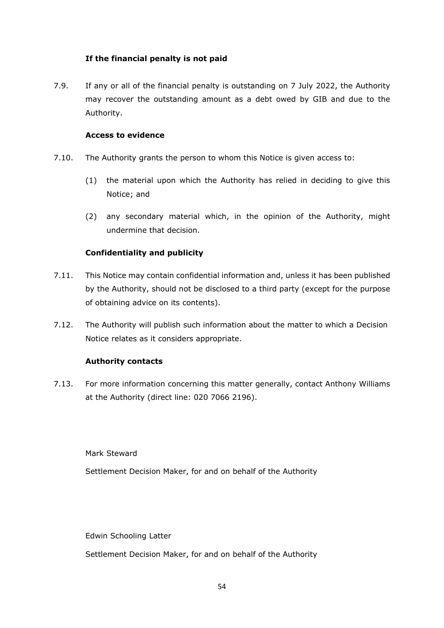## **If the financial penalty is not paid**

7.9. If any or all of the financial penalty is outstanding on 7 July 2022, the Authority may recover the outstanding amount as a debt owed by GIB and due to the Authority.

## **Access to evidence**

- 7.10. The Authority grants the person to whom this Notice is given access to:
	- (1) the material upon which the Authority has relied in deciding to give this Notice; and
	- (2) any secondary material which, in the opinion of the Authority, might undermine that decision.

## **Confidentiality and publicity**

- 7.11. This Notice may contain confidential information and, unless it has been published by the Authority, should not be disclosed to a third party (except for the purpose of obtaining advice on its contents).
- 7.12. The Authority will publish such information about the matter to which a Decision Notice relates as it considers appropriate.

## **Authority contacts**

7.13. For more information concerning this matter generally, contact Anthony Williams at the Authority (direct line: 020 7066 2196).

Mark Steward

Settlement Decision Maker, for and on behalf of the Authority

Edwin Schooling Latter

Settlement Decision Maker, for and on behalf of the Authority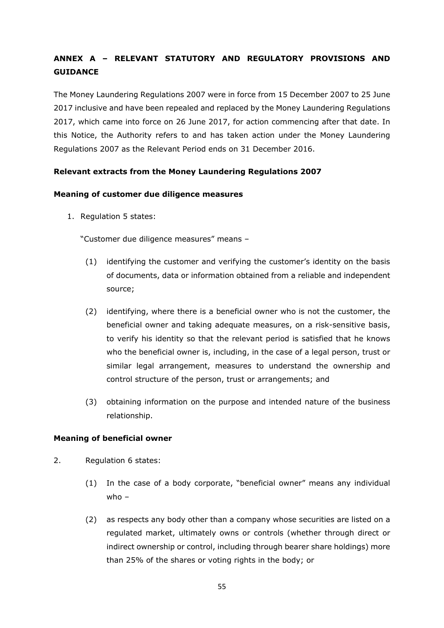# **ANNEX A – RELEVANT STATUTORY AND REGULATORY PROVISIONS AND GUIDANCE**

The Money Laundering Regulations 2007 were in force from 15 December 2007 to 25 June 2017 inclusive and have been repealed and replaced by the Money Laundering Regulations 2017, which came into force on 26 June 2017, for action commencing after that date. In this Notice, the Authority refers to and has taken action under the Money Laundering Regulations 2007 as the Relevant Period ends on 31 December 2016.

## **Relevant extracts from the Money Laundering Regulations 2007**

## **Meaning of customer due diligence measures**

1. Regulation 5 states:

"Customer due diligence measures" means –

- (1) identifying the customer and verifying the customer's identity on the basis of documents, data or information obtained from a reliable and independent source;
- (2) identifying, where there is a beneficial owner who is not the customer, the beneficial owner and taking adequate measures, on a risk-sensitive basis, to verify his identity so that the relevant period is satisfied that he knows who the beneficial owner is, including, in the case of a legal person, trust or similar legal arrangement, measures to understand the ownership and control structure of the person, trust or arrangements; and
- (3) obtaining information on the purpose and intended nature of the business relationship.

## **Meaning of beneficial owner**

- 2. Regulation 6 states:
	- (1) In the case of a body corporate, "beneficial owner" means any individual  $whn -$
	- (2) as respects any body other than a company whose securities are listed on a regulated market, ultimately owns or controls (whether through direct or indirect ownership or control, including through bearer share holdings) more than 25% of the shares or voting rights in the body; or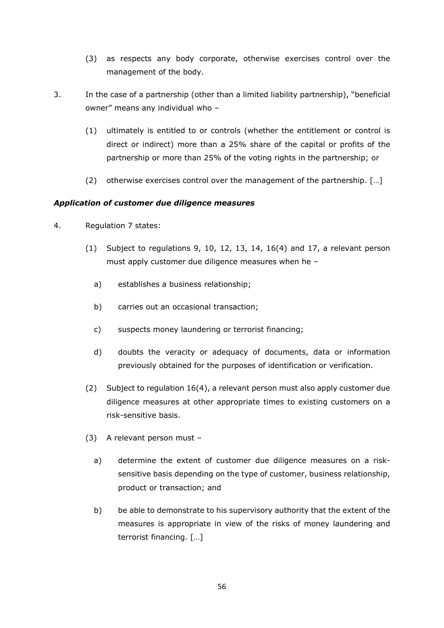- (3) as respects any body corporate, otherwise exercises control over the management of the body.
- 3. In the case of a partnership (other than a limited liability partnership), "beneficial owner" means any individual who –
	- (1) ultimately is entitled to or controls (whether the entitlement or control is direct or indirect) more than a 25% share of the capital or profits of the partnership or more than 25% of the voting rights in the partnership; or
	- (2) otherwise exercises control over the management of the partnership. […]

## *Application of customer due diligence measures*

- 4. Regulation 7 states:
	- (1) Subject to regulations 9, 10, 12, 13, 14, 16(4) and 17, a relevant person must apply customer due diligence measures when he –
		- a) establishes a business relationship;
		- b) carries out an occasional transaction;
		- c) suspects money laundering or terrorist financing;
		- d) doubts the veracity or adequacy of documents, data or information previously obtained for the purposes of identification or verification.
	- (2) Subject to regulation 16(4), a relevant person must also apply customer due diligence measures at other appropriate times to existing customers on a risk-sensitive basis.
	- (3) A relevant person must
		- a) determine the extent of customer due diligence measures on a risksensitive basis depending on the type of customer, business relationship, product or transaction; and
		- b) be able to demonstrate to his supervisory authority that the extent of the measures is appropriate in view of the risks of money laundering and terrorist financing. […]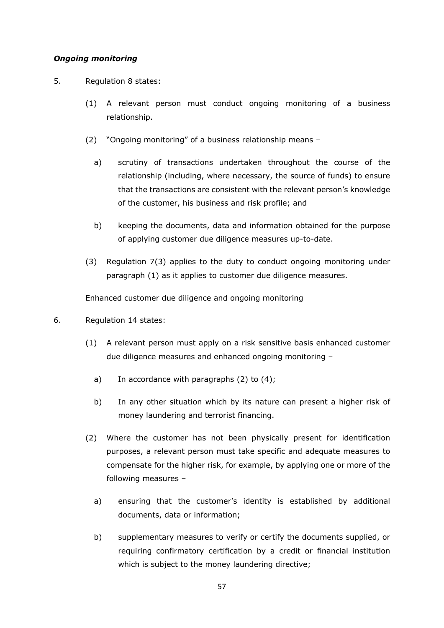## *Ongoing monitoring*

- 5. Regulation 8 states:
	- (1) A relevant person must conduct ongoing monitoring of a business relationship.
	- (2) "Ongoing monitoring" of a business relationship means
		- a) scrutiny of transactions undertaken throughout the course of the relationship (including, where necessary, the source of funds) to ensure that the transactions are consistent with the relevant person's knowledge of the customer, his business and risk profile; and
		- b) keeping the documents, data and information obtained for the purpose of applying customer due diligence measures up-to-date.
	- (3) Regulation 7(3) applies to the duty to conduct ongoing monitoring under paragraph (1) as it applies to customer due diligence measures.

Enhanced customer due diligence and ongoing monitoring

- 6. Regulation 14 states:
	- (1) A relevant person must apply on a risk sensitive basis enhanced customer due diligence measures and enhanced ongoing monitoring –
		- a) In accordance with paragraphs  $(2)$  to  $(4)$ ;
		- b) In any other situation which by its nature can present a higher risk of money laundering and terrorist financing.
	- (2) Where the customer has not been physically present for identification purposes, a relevant person must take specific and adequate measures to compensate for the higher risk, for example, by applying one or more of the following measures –
		- a) ensuring that the customer's identity is established by additional documents, data or information;
		- b) supplementary measures to verify or certify the documents supplied, or requiring confirmatory certification by a credit or financial institution which is subject to the money laundering directive;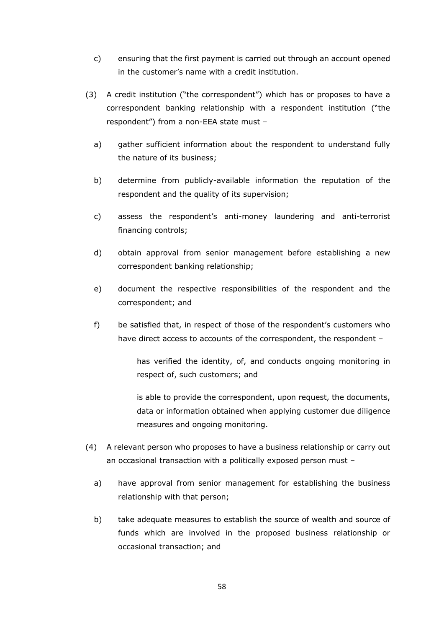- c) ensuring that the first payment is carried out through an account opened in the customer's name with a credit institution.
- (3) A credit institution ("the correspondent") which has or proposes to have a correspondent banking relationship with a respondent institution ("the respondent") from a non-EEA state must –
	- a) gather sufficient information about the respondent to understand fully the nature of its business;
	- b) determine from publicly-available information the reputation of the respondent and the quality of its supervision;
	- c) assess the respondent's anti-money laundering and anti-terrorist financing controls;
	- d) obtain approval from senior management before establishing a new correspondent banking relationship;
	- e) document the respective responsibilities of the respondent and the correspondent; and
	- f) be satisfied that, in respect of those of the respondent's customers who have direct access to accounts of the correspondent, the respondent -

has verified the identity, of, and conducts ongoing monitoring in respect of, such customers; and

is able to provide the correspondent, upon request, the documents, data or information obtained when applying customer due diligence measures and ongoing monitoring.

- (4) A relevant person who proposes to have a business relationship or carry out an occasional transaction with a politically exposed person must –
	- a) have approval from senior management for establishing the business relationship with that person;
	- b) take adequate measures to establish the source of wealth and source of funds which are involved in the proposed business relationship or occasional transaction; and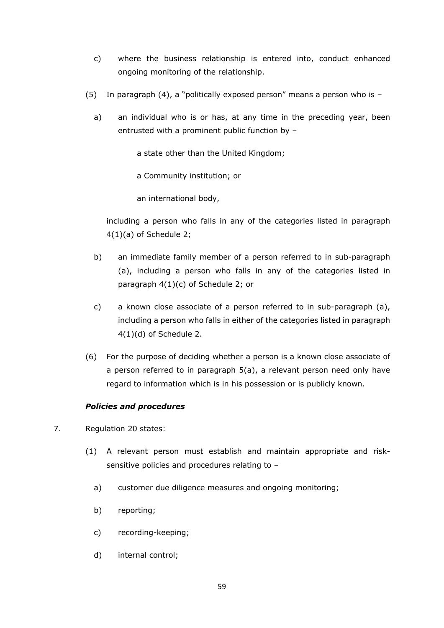- c) where the business relationship is entered into, conduct enhanced ongoing monitoring of the relationship.
- (5) In paragraph (4), a "politically exposed person" means a person who is
	- a) an individual who is or has, at any time in the preceding year, been entrusted with a prominent public function by –

a state other than the United Kingdom;

a Community institution; or

an international body,

including a person who falls in any of the categories listed in paragraph 4(1)(a) of Schedule 2;

- b) an immediate family member of a person referred to in sub-paragraph (a), including a person who falls in any of the categories listed in paragraph 4(1)(c) of Schedule 2; or
- c) a known close associate of a person referred to in sub-paragraph (a), including a person who falls in either of the categories listed in paragraph 4(1)(d) of Schedule 2.
- (6) For the purpose of deciding whether a person is a known close associate of a person referred to in paragraph 5(a), a relevant person need only have regard to information which is in his possession or is publicly known.

## *Policies and procedures*

- 7. Regulation 20 states:
	- (1) A relevant person must establish and maintain appropriate and risksensitive policies and procedures relating to –
		- a) customer due diligence measures and ongoing monitoring;
		- b) reporting;
		- c) recording-keeping;
		- d) internal control;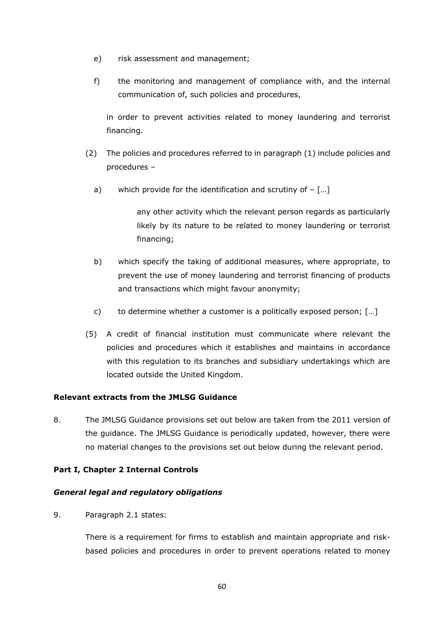- e) risk assessment and management;
- f) the monitoring and management of compliance with, and the internal communication of, such policies and procedures,

in order to prevent activities related to money laundering and terrorist financing.

- (2) The policies and procedures referred to in paragraph (1) include policies and procedures –
	- a) which provide for the identification and scrutiny of  $-$  [...]

any other activity which the relevant person regards as particularly likely by its nature to be related to money laundering or terrorist financing;

- b) which specify the taking of additional measures, where appropriate, to prevent the use of money laundering and terrorist financing of products and transactions which might favour anonymity;
- c) to determine whether a customer is a politically exposed person; […]
- (5) A credit of financial institution must communicate where relevant the policies and procedures which it establishes and maintains in accordance with this regulation to its branches and subsidiary undertakings which are located outside the United Kingdom.

## **Relevant extracts from the JMLSG Guidance**

8. The JMLSG Guidance provisions set out below are taken from the 2011 version of the guidance. The JMLSG Guidance is periodically updated, however, there were no material changes to the provisions set out below during the relevant period.

## **Part I, Chapter 2 Internal Controls**

## *General legal and regulatory obligations*

9. Paragraph 2.1 states:

There is a requirement for firms to establish and maintain appropriate and riskbased policies and procedures in order to prevent operations related to money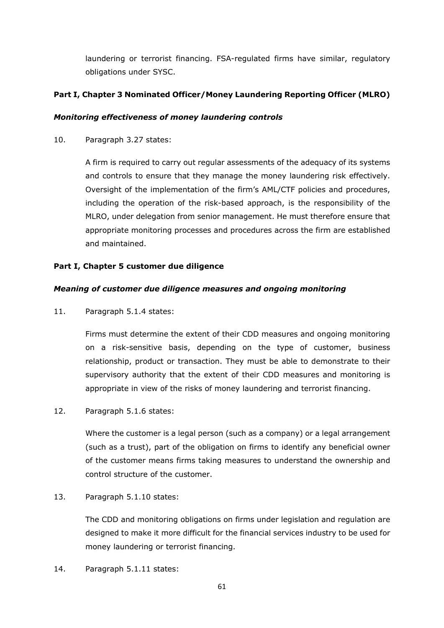laundering or terrorist financing. FSA-regulated firms have similar, regulatory obligations under SYSC.

## **Part I, Chapter 3 Nominated Officer/Money Laundering Reporting Officer (MLRO)**

## *Monitoring effectiveness of money laundering controls*

10. Paragraph 3.27 states:

A firm is required to carry out regular assessments of the adequacy of its systems and controls to ensure that they manage the money laundering risk effectively. Oversight of the implementation of the firm's AML/CTF policies and procedures, including the operation of the risk-based approach, is the responsibility of the MLRO, under delegation from senior management. He must therefore ensure that appropriate monitoring processes and procedures across the firm are established and maintained.

## **Part I, Chapter 5 customer due diligence**

## *Meaning of customer due diligence measures and ongoing monitoring*

11. Paragraph 5.1.4 states:

Firms must determine the extent of their CDD measures and ongoing monitoring on a risk-sensitive basis, depending on the type of customer, business relationship, product or transaction. They must be able to demonstrate to their supervisory authority that the extent of their CDD measures and monitoring is appropriate in view of the risks of money laundering and terrorist financing.

12. Paragraph 5.1.6 states:

Where the customer is a legal person (such as a company) or a legal arrangement (such as a trust), part of the obligation on firms to identify any beneficial owner of the customer means firms taking measures to understand the ownership and control structure of the customer.

13. Paragraph 5.1.10 states:

The CDD and monitoring obligations on firms under legislation and regulation are designed to make it more difficult for the financial services industry to be used for money laundering or terrorist financing.

14. Paragraph 5.1.11 states: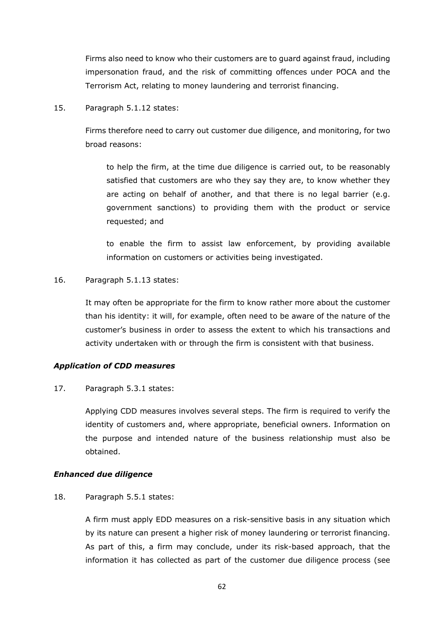Firms also need to know who their customers are to guard against fraud, including impersonation fraud, and the risk of committing offences under POCA and the Terrorism Act, relating to money laundering and terrorist financing.

15. Paragraph 5.1.12 states:

Firms therefore need to carry out customer due diligence, and monitoring, for two broad reasons:

to help the firm, at the time due diligence is carried out, to be reasonably satisfied that customers are who they say they are, to know whether they are acting on behalf of another, and that there is no legal barrier (e.g. government sanctions) to providing them with the product or service requested; and

to enable the firm to assist law enforcement, by providing available information on customers or activities being investigated.

16. Paragraph 5.1.13 states:

It may often be appropriate for the firm to know rather more about the customer than his identity: it will, for example, often need to be aware of the nature of the customer's business in order to assess the extent to which his transactions and activity undertaken with or through the firm is consistent with that business.

## *Application of CDD measures*

17. Paragraph 5.3.1 states:

Applying CDD measures involves several steps. The firm is required to verify the identity of customers and, where appropriate, beneficial owners. Information on the purpose and intended nature of the business relationship must also be obtained.

### *Enhanced due diligence*

18. Paragraph 5.5.1 states:

A firm must apply EDD measures on a risk-sensitive basis in any situation which by its nature can present a higher risk of money laundering or terrorist financing. As part of this, a firm may conclude, under its risk-based approach, that the information it has collected as part of the customer due diligence process (see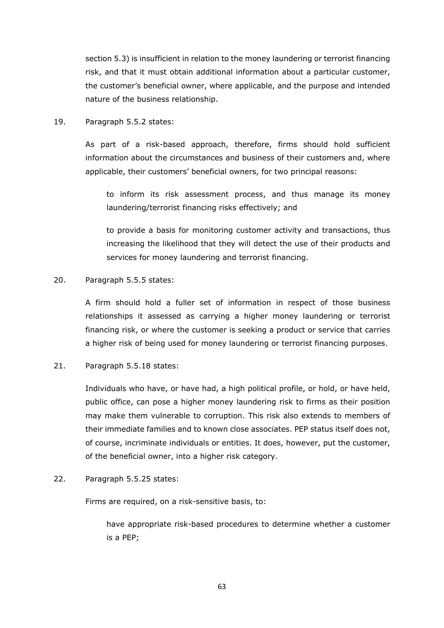section 5.3) is insufficient in relation to the money laundering or terrorist financing risk, and that it must obtain additional information about a particular customer, the customer's beneficial owner, where applicable, and the purpose and intended nature of the business relationship.

19. Paragraph 5.5.2 states:

As part of a risk-based approach, therefore, firms should hold sufficient information about the circumstances and business of their customers and, where applicable, their customers' beneficial owners, for two principal reasons:

to inform its risk assessment process, and thus manage its money laundering/terrorist financing risks effectively; and

to provide a basis for monitoring customer activity and transactions, thus increasing the likelihood that they will detect the use of their products and services for money laundering and terrorist financing.

## 20. Paragraph 5.5.5 states:

A firm should hold a fuller set of information in respect of those business relationships it assessed as carrying a higher money laundering or terrorist financing risk, or where the customer is seeking a product or service that carries a higher risk of being used for money laundering or terrorist financing purposes.

## 21. Paragraph 5.5.18 states:

Individuals who have, or have had, a high political profile, or hold, or have held, public office, can pose a higher money laundering risk to firms as their position may make them vulnerable to corruption. This risk also extends to members of their immediate families and to known close associates. PEP status itself does not, of course, incriminate individuals or entities. It does, however, put the customer, of the beneficial owner, into a higher risk category.

### 22. Paragraph 5.5.25 states:

Firms are required, on a risk-sensitive basis, to:

have appropriate risk-based procedures to determine whether a customer is a PEP;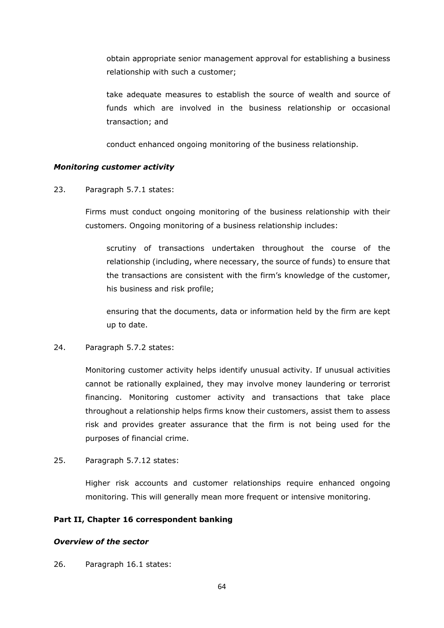obtain appropriate senior management approval for establishing a business relationship with such a customer;

take adequate measures to establish the source of wealth and source of funds which are involved in the business relationship or occasional transaction; and

conduct enhanced ongoing monitoring of the business relationship.

## *Monitoring customer activity*

23. Paragraph 5.7.1 states:

Firms must conduct ongoing monitoring of the business relationship with their customers. Ongoing monitoring of a business relationship includes:

scrutiny of transactions undertaken throughout the course of the relationship (including, where necessary, the source of funds) to ensure that the transactions are consistent with the firm's knowledge of the customer, his business and risk profile;

ensuring that the documents, data or information held by the firm are kept up to date.

## 24. Paragraph 5.7.2 states:

Monitoring customer activity helps identify unusual activity. If unusual activities cannot be rationally explained, they may involve money laundering or terrorist financing. Monitoring customer activity and transactions that take place throughout a relationship helps firms know their customers, assist them to assess risk and provides greater assurance that the firm is not being used for the purposes of financial crime.

25. Paragraph 5.7.12 states:

Higher risk accounts and customer relationships require enhanced ongoing monitoring. This will generally mean more frequent or intensive monitoring.

### **Part II, Chapter 16 correspondent banking**

### *Overview of the sector*

26. Paragraph 16.1 states: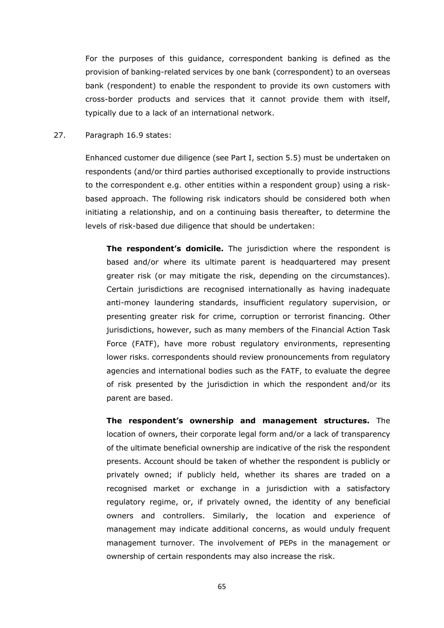For the purposes of this guidance, correspondent banking is defined as the provision of banking-related services by one bank (correspondent) to an overseas bank (respondent) to enable the respondent to provide its own customers with cross-border products and services that it cannot provide them with itself, typically due to a lack of an international network.

### 27. Paragraph 16.9 states:

Enhanced customer due diligence (see Part I, section 5.5) must be undertaken on respondents (and/or third parties authorised exceptionally to provide instructions to the correspondent e.g. other entities within a respondent group) using a riskbased approach. The following risk indicators should be considered both when initiating a relationship, and on a continuing basis thereafter, to determine the levels of risk-based due diligence that should be undertaken:

**The respondent's domicile.** The jurisdiction where the respondent is based and/or where its ultimate parent is headquartered may present greater risk (or may mitigate the risk, depending on the circumstances). Certain jurisdictions are recognised internationally as having inadequate anti-money laundering standards, insufficient regulatory supervision, or presenting greater risk for crime, corruption or terrorist financing. Other jurisdictions, however, such as many members of the Financial Action Task Force (FATF), have more robust regulatory environments, representing lower risks. correspondents should review pronouncements from regulatory agencies and international bodies such as the FATF, to evaluate the degree of risk presented by the jurisdiction in which the respondent and/or its parent are based.

**The respondent's ownership and management structures.** The location of owners, their corporate legal form and/or a lack of transparency of the ultimate beneficial ownership are indicative of the risk the respondent presents. Account should be taken of whether the respondent is publicly or privately owned; if publicly held, whether its shares are traded on a recognised market or exchange in a jurisdiction with a satisfactory regulatory regime, or, if privately owned, the identity of any beneficial owners and controllers. Similarly, the location and experience of management may indicate additional concerns, as would unduly frequent management turnover. The involvement of PEPs in the management or ownership of certain respondents may also increase the risk.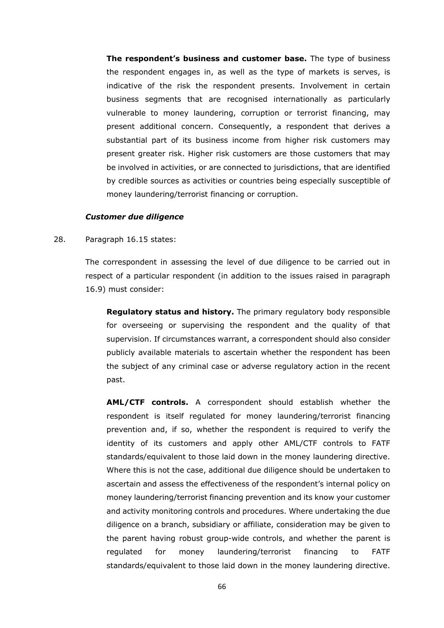**The respondent's business and customer base.** The type of business the respondent engages in, as well as the type of markets is serves, is indicative of the risk the respondent presents. Involvement in certain business segments that are recognised internationally as particularly vulnerable to money laundering, corruption or terrorist financing, may present additional concern. Consequently, a respondent that derives a substantial part of its business income from higher risk customers may present greater risk. Higher risk customers are those customers that may be involved in activities, or are connected to jurisdictions, that are identified by credible sources as activities or countries being especially susceptible of money laundering/terrorist financing or corruption.

#### *Customer due diligence*

#### 28. Paragraph 16.15 states:

The correspondent in assessing the level of due diligence to be carried out in respect of a particular respondent (in addition to the issues raised in paragraph 16.9) must consider:

**Regulatory status and history.** The primary regulatory body responsible for overseeing or supervising the respondent and the quality of that supervision. If circumstances warrant, a correspondent should also consider publicly available materials to ascertain whether the respondent has been the subject of any criminal case or adverse regulatory action in the recent past.

**AML/CTF controls.** A correspondent should establish whether the respondent is itself regulated for money laundering/terrorist financing prevention and, if so, whether the respondent is required to verify the identity of its customers and apply other AML/CTF controls to FATF standards/equivalent to those laid down in the money laundering directive. Where this is not the case, additional due diligence should be undertaken to ascertain and assess the effectiveness of the respondent's internal policy on money laundering/terrorist financing prevention and its know your customer and activity monitoring controls and procedures. Where undertaking the due diligence on a branch, subsidiary or affiliate, consideration may be given to the parent having robust group-wide controls, and whether the parent is regulated for money laundering/terrorist financing to FATF standards/equivalent to those laid down in the money laundering directive.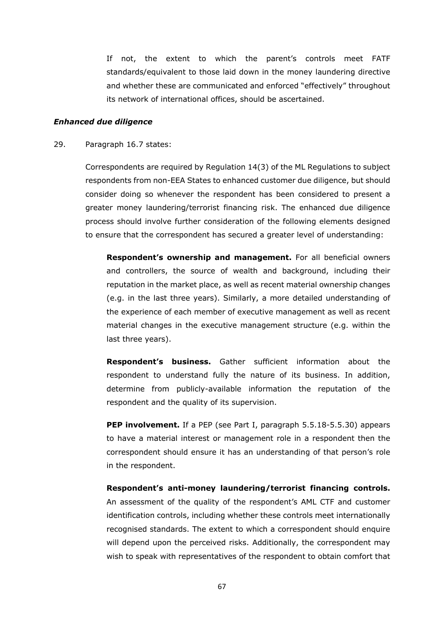If not, the extent to which the parent's controls meet FATF standards/equivalent to those laid down in the money laundering directive and whether these are communicated and enforced "effectively" throughout its network of international offices, should be ascertained.

### *Enhanced due diligence*

### 29. Paragraph 16.7 states:

Correspondents are required by Regulation 14(3) of the ML Regulations to subject respondents from non-EEA States to enhanced customer due diligence, but should consider doing so whenever the respondent has been considered to present a greater money laundering/terrorist financing risk. The enhanced due diligence process should involve further consideration of the following elements designed to ensure that the correspondent has secured a greater level of understanding:

**Respondent's ownership and management.** For all beneficial owners and controllers, the source of wealth and background, including their reputation in the market place, as well as recent material ownership changes (e.g. in the last three years). Similarly, a more detailed understanding of the experience of each member of executive management as well as recent material changes in the executive management structure (e.g. within the last three years).

**Respondent's business.** Gather sufficient information about the respondent to understand fully the nature of its business. In addition, determine from publicly-available information the reputation of the respondent and the quality of its supervision.

**PEP involvement.** If a PEP (see Part I, paragraph 5.5.18-5.5.30) appears to have a material interest or management role in a respondent then the correspondent should ensure it has an understanding of that person's role in the respondent.

**Respondent's anti-money laundering/terrorist financing controls.** An assessment of the quality of the respondent's AML CTF and customer identification controls, including whether these controls meet internationally recognised standards. The extent to which a correspondent should enquire will depend upon the perceived risks. Additionally, the correspondent may wish to speak with representatives of the respondent to obtain comfort that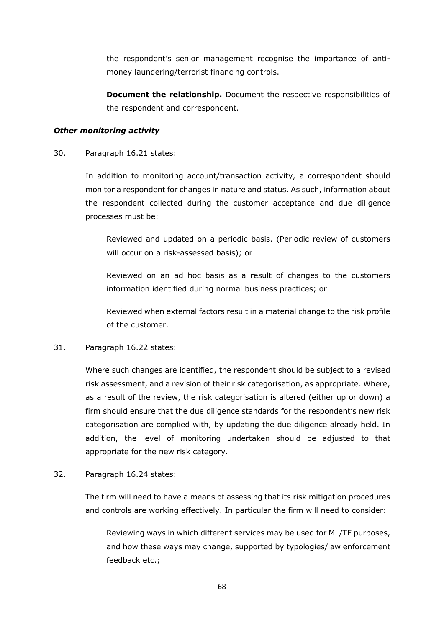the respondent's senior management recognise the importance of antimoney laundering/terrorist financing controls.

**Document the relationship.** Document the respective responsibilities of the respondent and correspondent.

### *Other monitoring activity*

### 30. Paragraph 16.21 states:

In addition to monitoring account/transaction activity, a correspondent should monitor a respondent for changes in nature and status. As such, information about the respondent collected during the customer acceptance and due diligence processes must be:

Reviewed and updated on a periodic basis. (Periodic review of customers will occur on a risk-assessed basis); or

Reviewed on an ad hoc basis as a result of changes to the customers information identified during normal business practices; or

Reviewed when external factors result in a material change to the risk profile of the customer.

## 31. Paragraph 16.22 states:

Where such changes are identified, the respondent should be subject to a revised risk assessment, and a revision of their risk categorisation, as appropriate. Where, as a result of the review, the risk categorisation is altered (either up or down) a firm should ensure that the due diligence standards for the respondent's new risk categorisation are complied with, by updating the due diligence already held. In addition, the level of monitoring undertaken should be adjusted to that appropriate for the new risk category.

### 32. Paragraph 16.24 states:

The firm will need to have a means of assessing that its risk mitigation procedures and controls are working effectively. In particular the firm will need to consider:

Reviewing ways in which different services may be used for ML/TF purposes, and how these ways may change, supported by typologies/law enforcement feedback etc.;